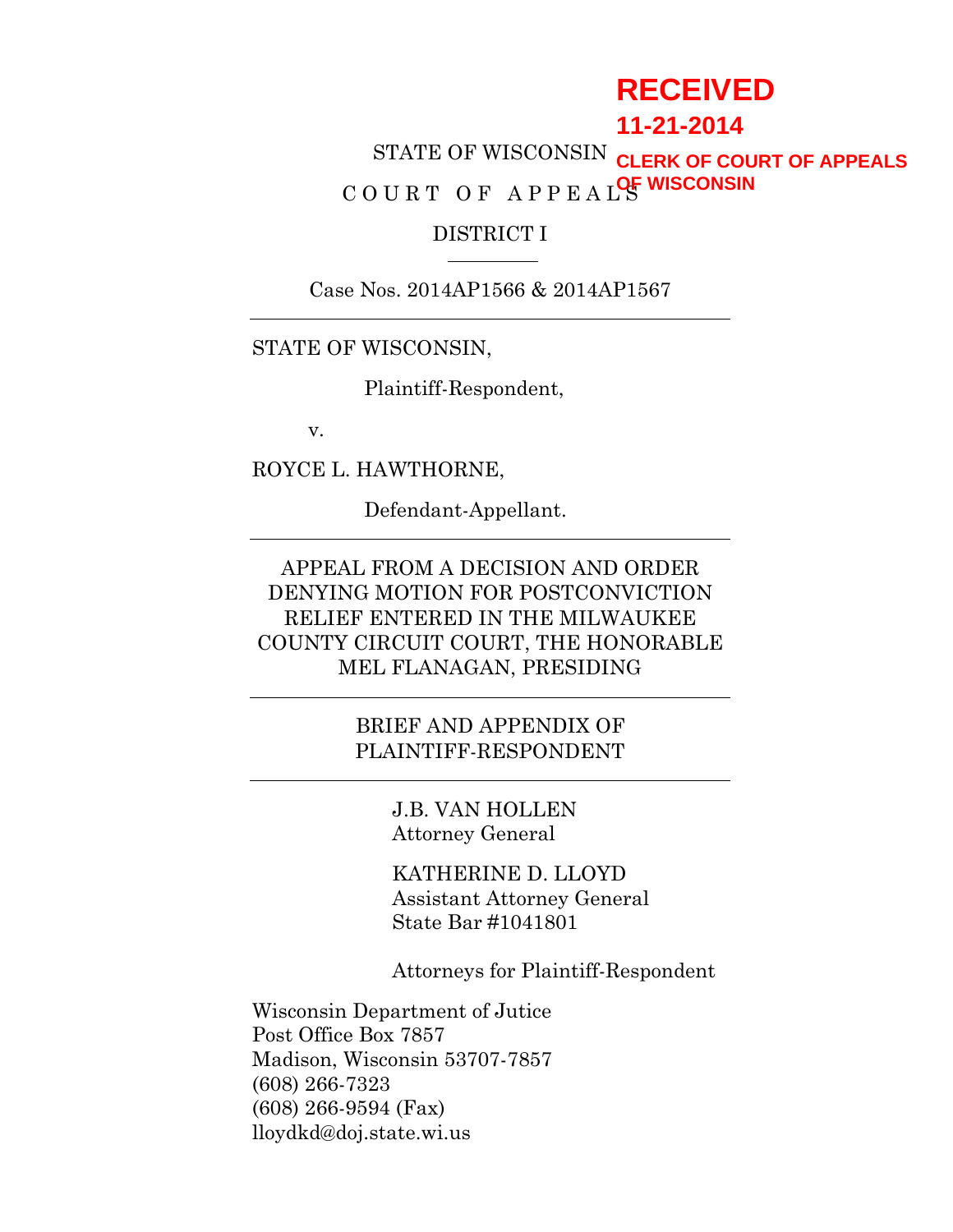# **RECEIVED**

## **11-21-2014**

STATE OF WISCONSIN **CLERK OF COURT OF APPEALS** COURT OF APPEAL<sup>OF</sup> WISCONSIN

#### DISTRICT I

Case Nos. 2014AP1566 & 2014AP1567

STATE OF WISCONSIN,

Plaintiff-Respondent,

v.

ROYCE L. HAWTHORNE,

Defendant-Appellant.

APPEAL FROM A DECISION AND ORDER DENYING MOTION FOR POSTCONVICTION RELIEF ENTERED IN THE MILWAUKEE COUNTY CIRCUIT COURT, THE HONORABLE MEL FLANAGAN, PRESIDING

> BRIEF AND APPENDIX OF PLAINTIFF-RESPONDENT

> > J.B. VAN HOLLEN Attorney General

KATHERINE D. LLOYD Assistant Attorney General State Bar #1041801

Attorneys for Plaintiff-Respondent

Wisconsin Department of Jutice Post Office Box 7857 Madison, Wisconsin 53707-7857 (608) 266-7323 (608) 266-9594 (Fax) lloydkd@doj.state.wi.us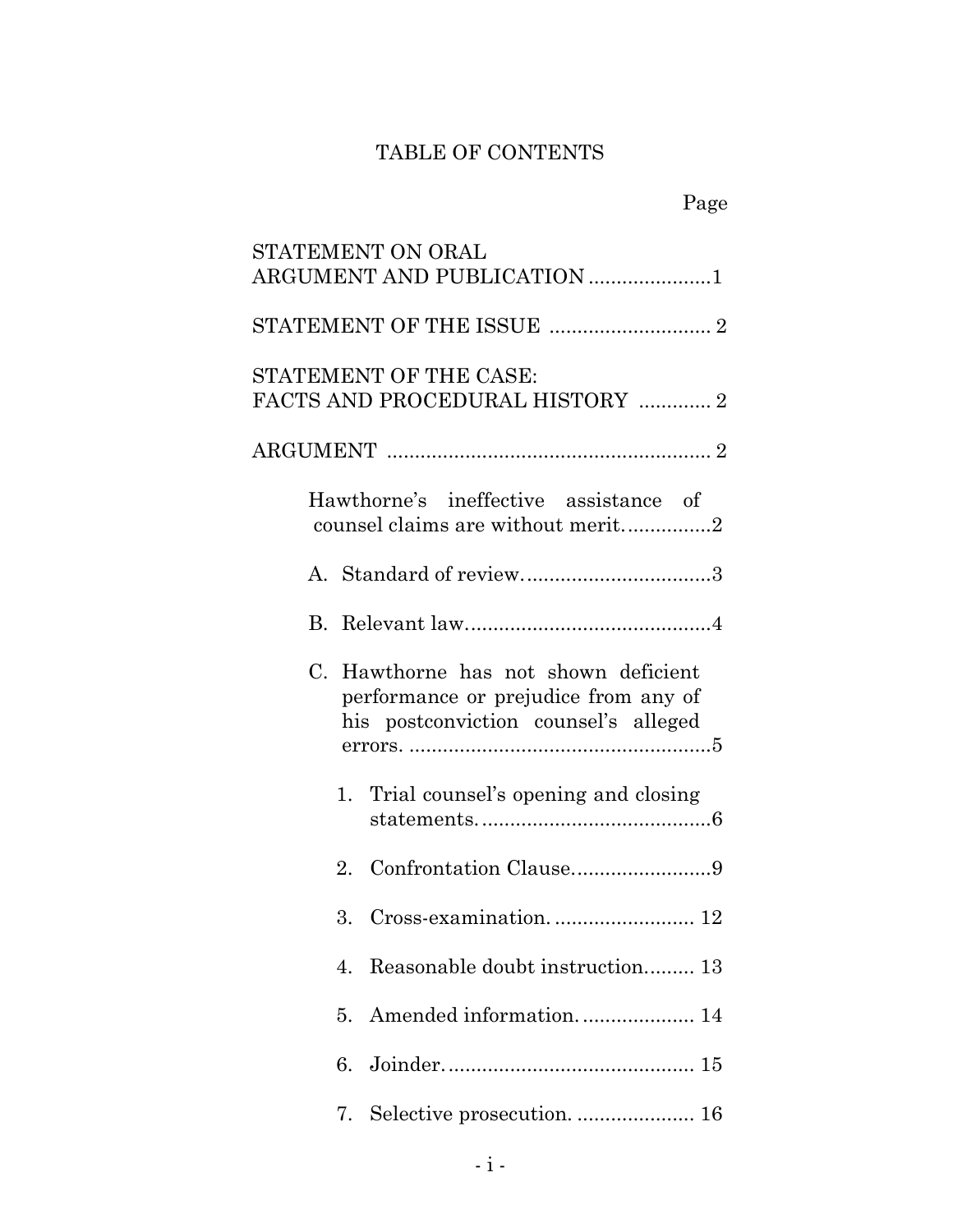## TABLE OF CONTENTS

| STATEMENT ON ORAL                                                                                                    |
|----------------------------------------------------------------------------------------------------------------------|
| ARGUMENT AND PUBLICATION 1                                                                                           |
|                                                                                                                      |
| STATEMENT OF THE CASE:<br>FACTS AND PROCEDURAL HISTORY  2                                                            |
|                                                                                                                      |
| Hawthorne's ineffective assistance of<br>counsel claims are without merit2                                           |
|                                                                                                                      |
|                                                                                                                      |
| C. Hawthorne has not shown deficient<br>performance or prejudice from any of<br>his postconviction counsel's alleged |
| 1. Trial counsel's opening and closing                                                                               |
| 2.                                                                                                                   |
|                                                                                                                      |
| Reasonable doubt instruction 13<br>4.                                                                                |
| 5.                                                                                                                   |
| 6.                                                                                                                   |
| 7.                                                                                                                   |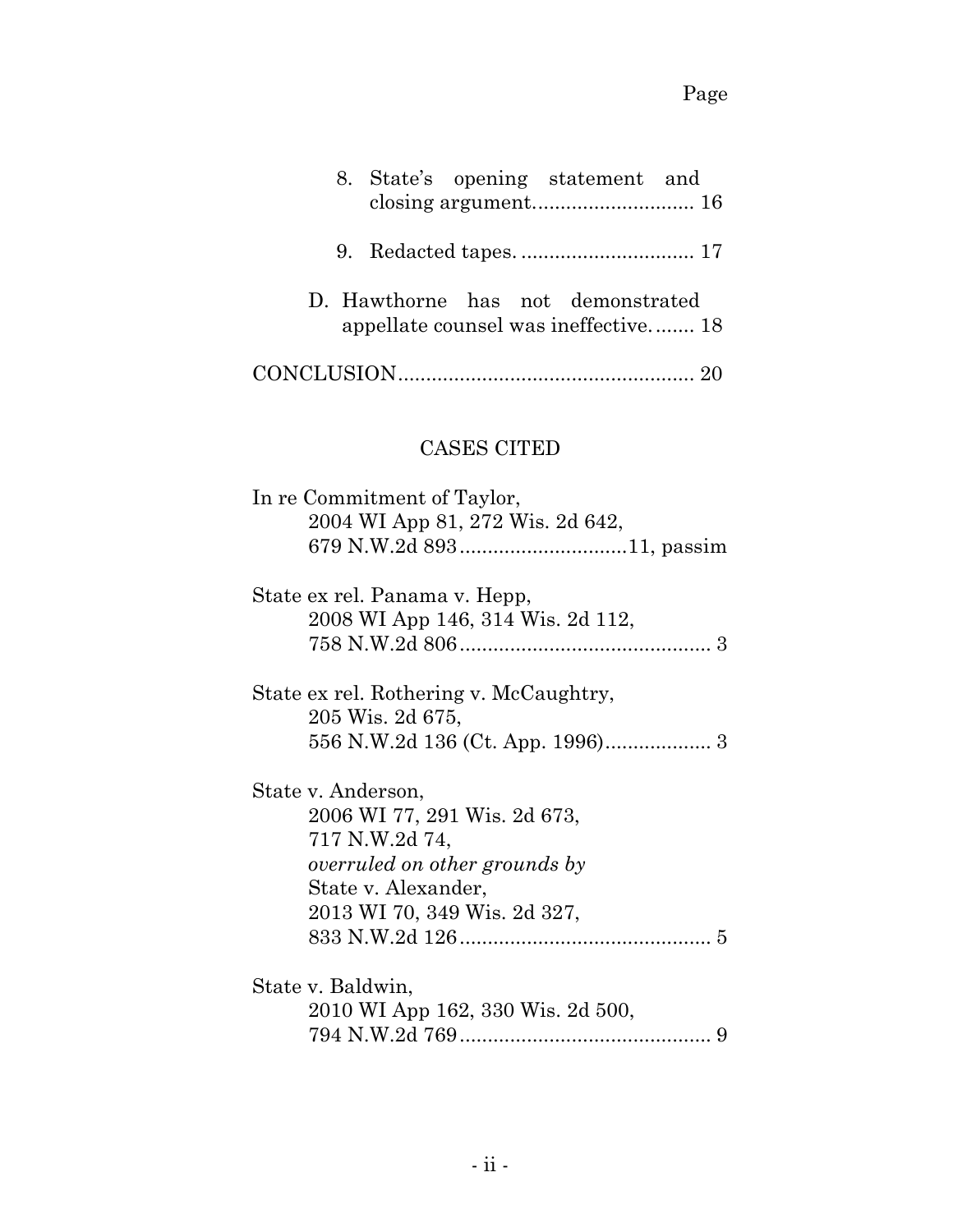| 8. State's opening statement and                                                                                                                             |
|--------------------------------------------------------------------------------------------------------------------------------------------------------------|
|                                                                                                                                                              |
| D. Hawthorne has not demonstrated<br>appellate counsel was ineffective 18                                                                                    |
|                                                                                                                                                              |
| <b>CASES CITED</b>                                                                                                                                           |
| In re Commitment of Taylor,<br>2004 WI App 81, 272 Wis. 2d 642,                                                                                              |
| State ex rel. Panama v. Hepp,<br>2008 WI App 146, 314 Wis. 2d 112,                                                                                           |
| State ex rel. Rothering v. McCaughtry,<br>205 Wis. 2d 675,                                                                                                   |
| State v. Anderson,<br>2006 WI 77, 291 Wis. 2d 673,<br>717 N.W.2d 74,<br>overruled on other grounds by<br>State v. Alexander,<br>2013 WI 70, 349 Wis. 2d 327, |
| State v. Baldwin,<br>2010 WI App 162, 330 Wis. 2d 500,                                                                                                       |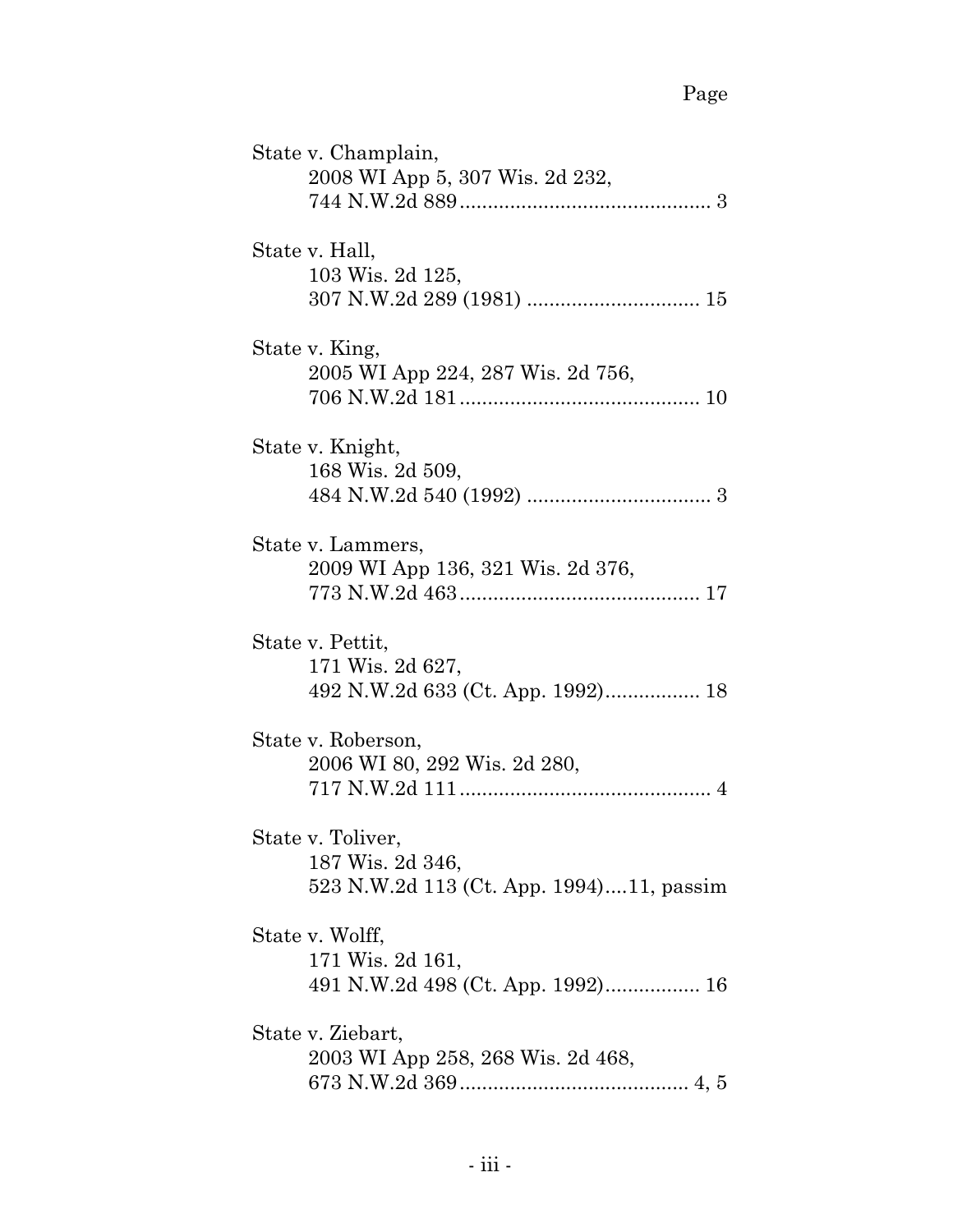| State v. Champlain,<br>2008 WI App 5, 307 Wis. 2d 232,                            |  |
|-----------------------------------------------------------------------------------|--|
| State v. Hall,<br>103 Wis. 2d 125,                                                |  |
| State v. King,<br>2005 WI App 224, 287 Wis. 2d 756,                               |  |
| State v. Knight,<br>168 Wis. 2d 509,                                              |  |
| State v. Lammers,<br>2009 WI App 136, 321 Wis. 2d 376,                            |  |
| State v. Pettit,<br>171 Wis. 2d 627,                                              |  |
| State v. Roberson,<br>2006 WI 80, 292 Wis. 2d 280,                                |  |
| State v. Toliver,<br>187 Wis. 2d 346,<br>523 N.W.2d 113 (Ct. App. 1994)11, passim |  |
| State v. Wolff,<br>171 Wis. 2d 161,<br>491 N.W.2d 498 (Ct. App. 1992) 16          |  |
| State v. Ziebart,<br>2003 WI App 258, 268 Wis. 2d 468,                            |  |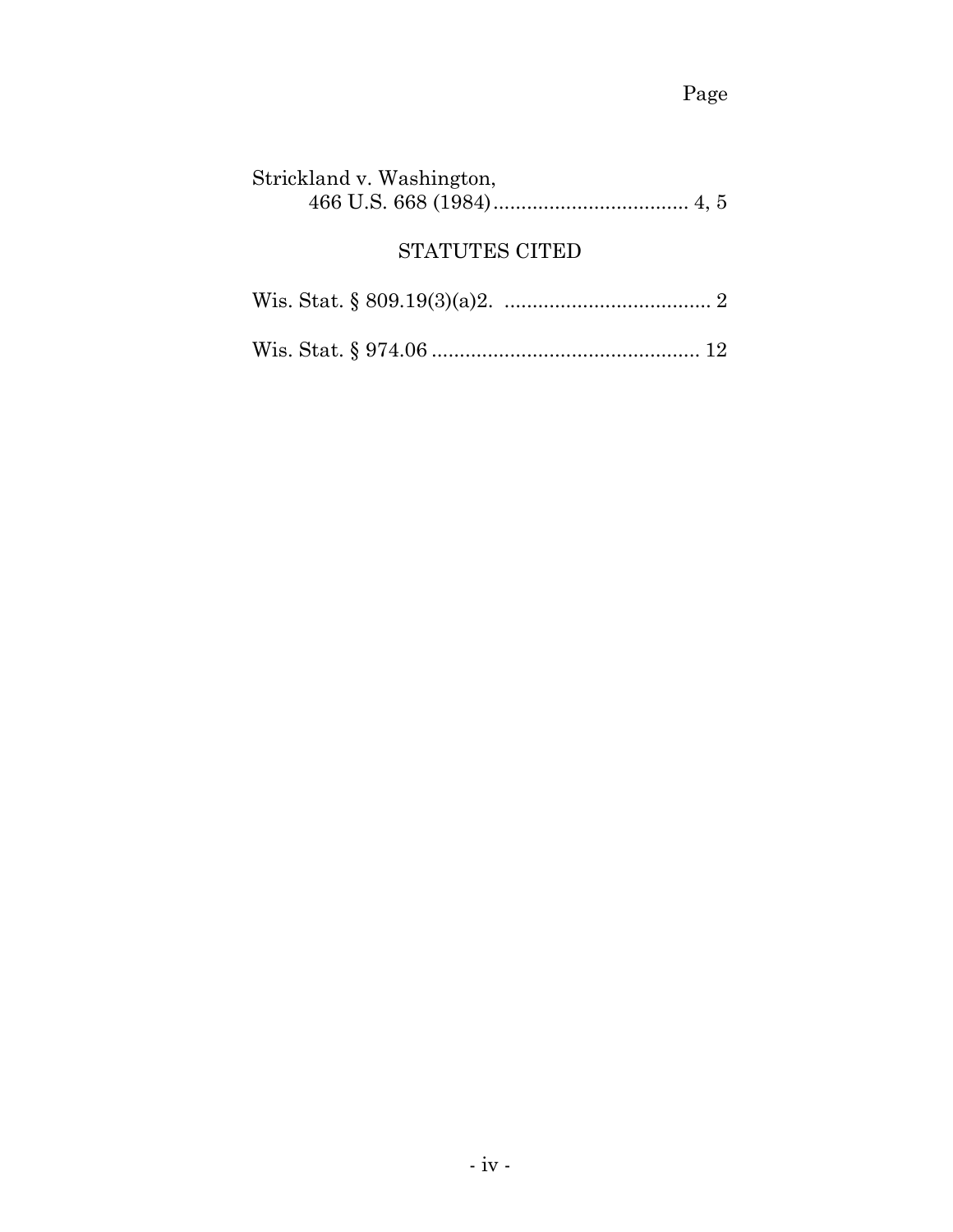| Strickland v. Washington, |  |
|---------------------------|--|
| <b>STATUTES CITED</b>     |  |
|                           |  |
|                           |  |
|                           |  |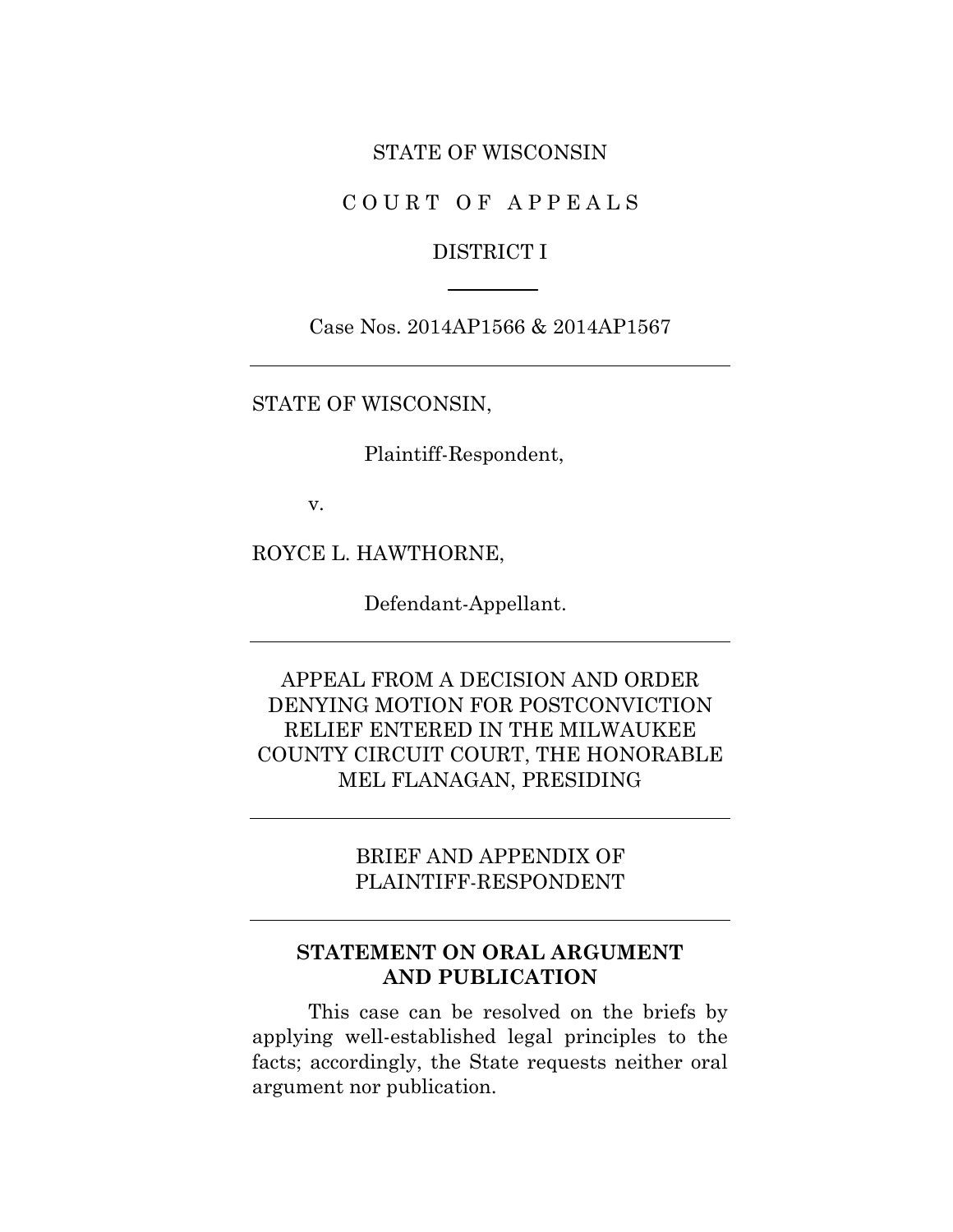#### STATE OF WISCONSIN

C O U R T O F A P P E A L S

#### DISTRICT I

Case Nos. 2014AP1566 & 2014AP1567

STATE OF WISCONSIN,

Plaintiff-Respondent,

v.

ROYCE L. HAWTHORNE,

Defendant-Appellant.

APPEAL FROM A DECISION AND ORDER DENYING MOTION FOR POSTCONVICTION RELIEF ENTERED IN THE MILWAUKEE COUNTY CIRCUIT COURT, THE HONORABLE MEL FLANAGAN, PRESIDING

> BRIEF AND APPENDIX OF PLAINTIFF-RESPONDENT

### **STATEMENT ON ORAL ARGUMENT AND PUBLICATION**

This case can be resolved on the briefs by applying well-established legal principles to the facts; accordingly, the State requests neither oral argument nor publication.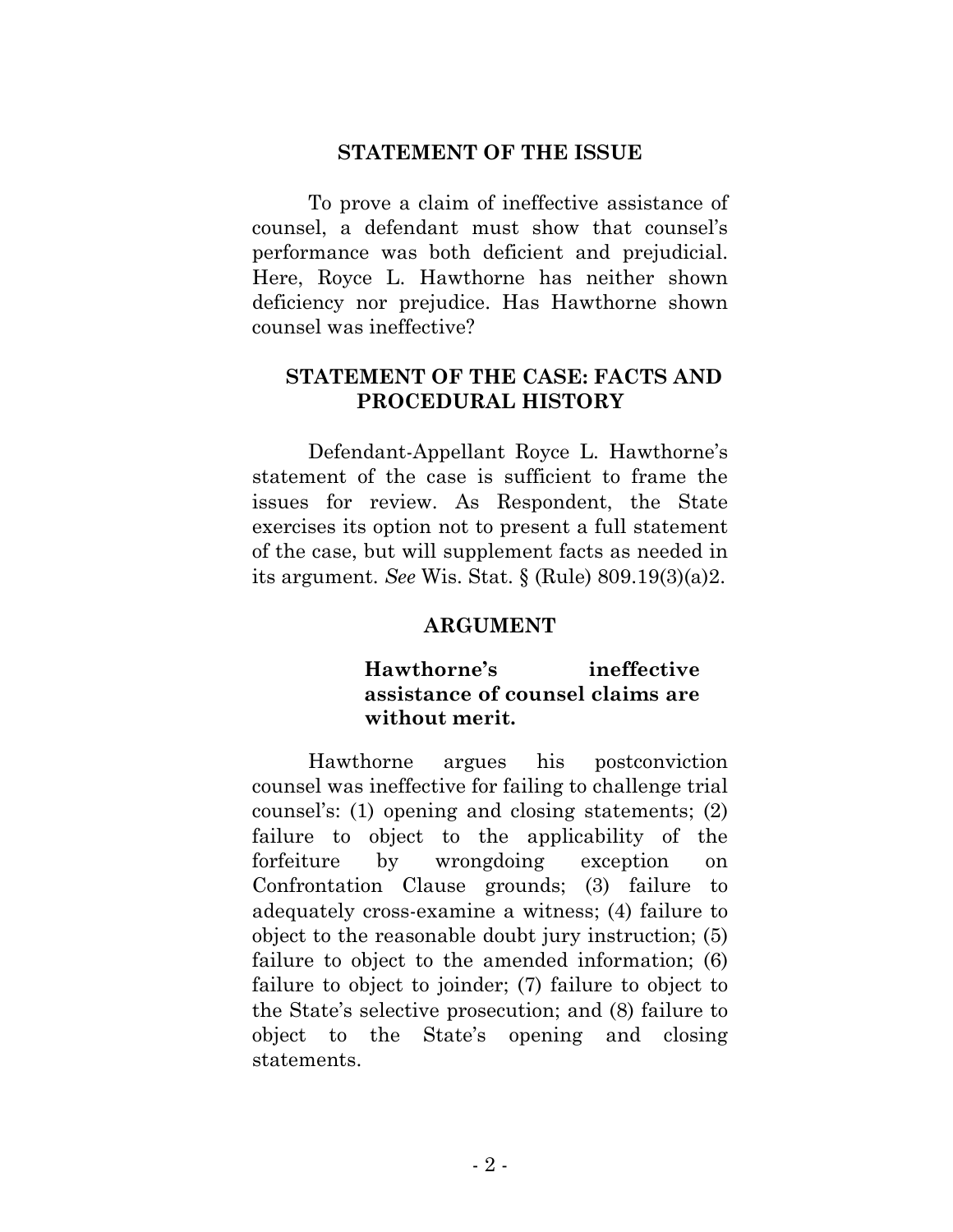#### **STATEMENT OF THE ISSUE**

To prove a claim of ineffective assistance of counsel, a defendant must show that counsel's performance was both deficient and prejudicial. Here, Royce L. Hawthorne has neither shown deficiency nor prejudice. Has Hawthorne shown counsel was ineffective?

### **STATEMENT OF THE CASE: FACTS AND PROCEDURAL HISTORY**

Defendant-Appellant Royce L. Hawthorne's statement of the case is sufficient to frame the issues for review. As Respondent, the State exercises its option not to present a full statement of the case, but will supplement facts as needed in its argument. *See* Wis. Stat. § (Rule) 809.19(3)(a)2.

#### **ARGUMENT**

## **Hawthorne's ineffective assistance of counsel claims are without merit.**

Hawthorne argues his postconviction counsel was ineffective for failing to challenge trial counsel's: (1) opening and closing statements; (2) failure to object to the applicability of the forfeiture by wrongdoing exception on Confrontation Clause grounds; (3) failure to adequately cross-examine a witness; (4) failure to object to the reasonable doubt jury instruction; (5) failure to object to the amended information; (6) failure to object to joinder; (7) failure to object to the State's selective prosecution; and (8) failure to object to the State's opening and closing statements.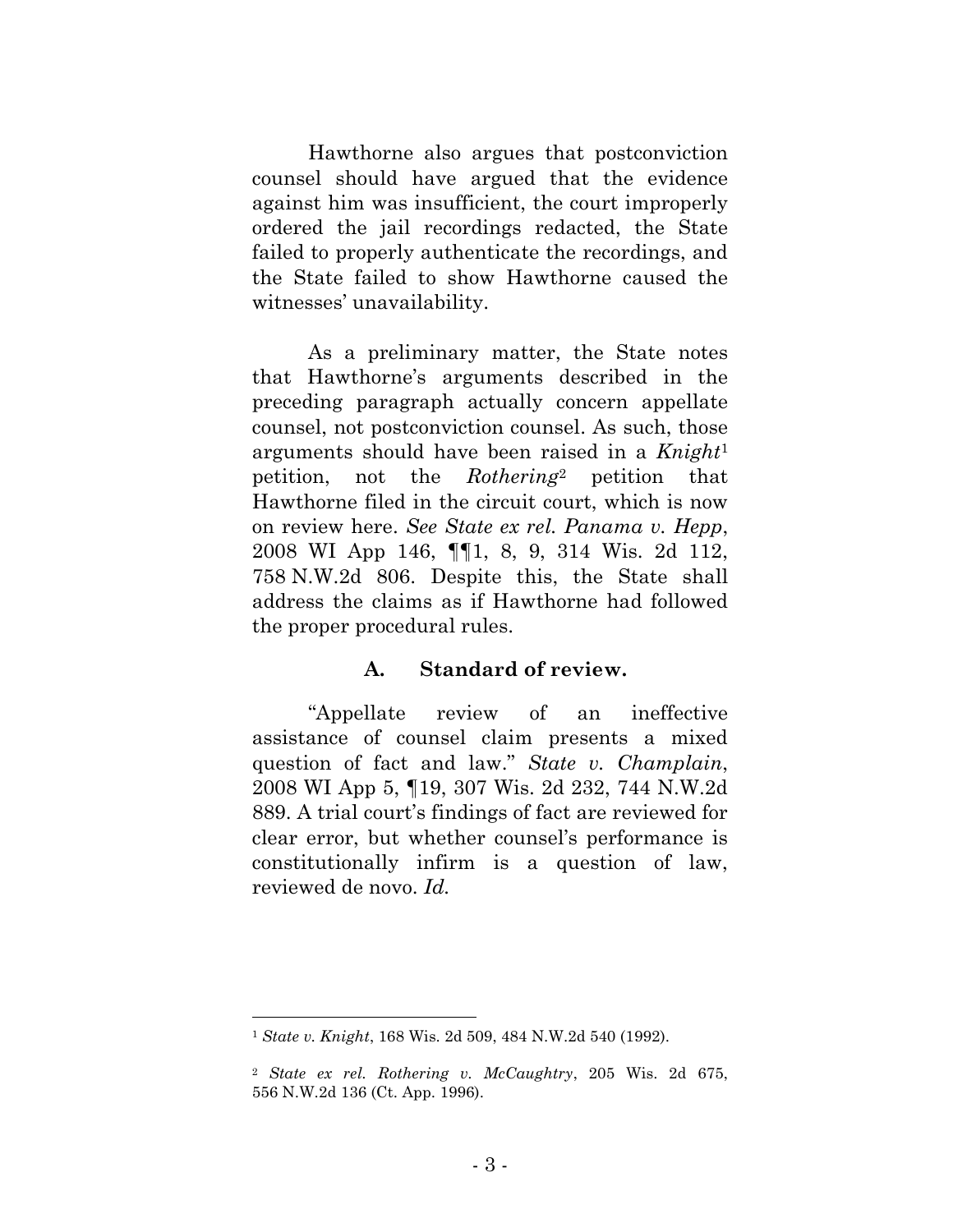Hawthorne also argues that postconviction counsel should have argued that the evidence against him was insufficient, the court improperly ordered the jail recordings redacted, the State failed to properly authenticate the recordings, and the State failed to show Hawthorne caused the witnesses' unavailability.

As a preliminary matter, the State notes that Hawthorne's arguments described in the preceding paragraph actually concern appellate counsel, not postconviction counsel. As such, those arguments should have been raised in a *Knight*<sup>1</sup> petition, not the *Rothering*<sup>2</sup> petition that Hawthorne filed in the circuit court, which is now on review here. *See State ex rel. Panama v. Hepp*, 2008 WI App 146, ¶¶1, 8, 9, 314 Wis. 2d 112, 758 N.W.2d 806. Despite this, the State shall address the claims as if Hawthorne had followed the proper procedural rules.

#### **A. Standard of review.**

"Appellate review of an ineffective assistance of counsel claim presents a mixed question of fact and law." *State v. Champlain*, 2008 WI App 5, ¶19, 307 Wis. 2d 232, 744 N.W.2d 889. A trial court's findings of fact are reviewed for clear error, but whether counsel's performance is constitutionally infirm is a question of law, reviewed de novo. *Id.*

<sup>1</sup> *State v. Knight*, 168 Wis. 2d 509, 484 N.W.2d 540 (1992).

<sup>2</sup> *State ex rel. Rothering v. McCaughtry*, 205 Wis. 2d 675, 556 N.W.2d 136 (Ct. App. 1996).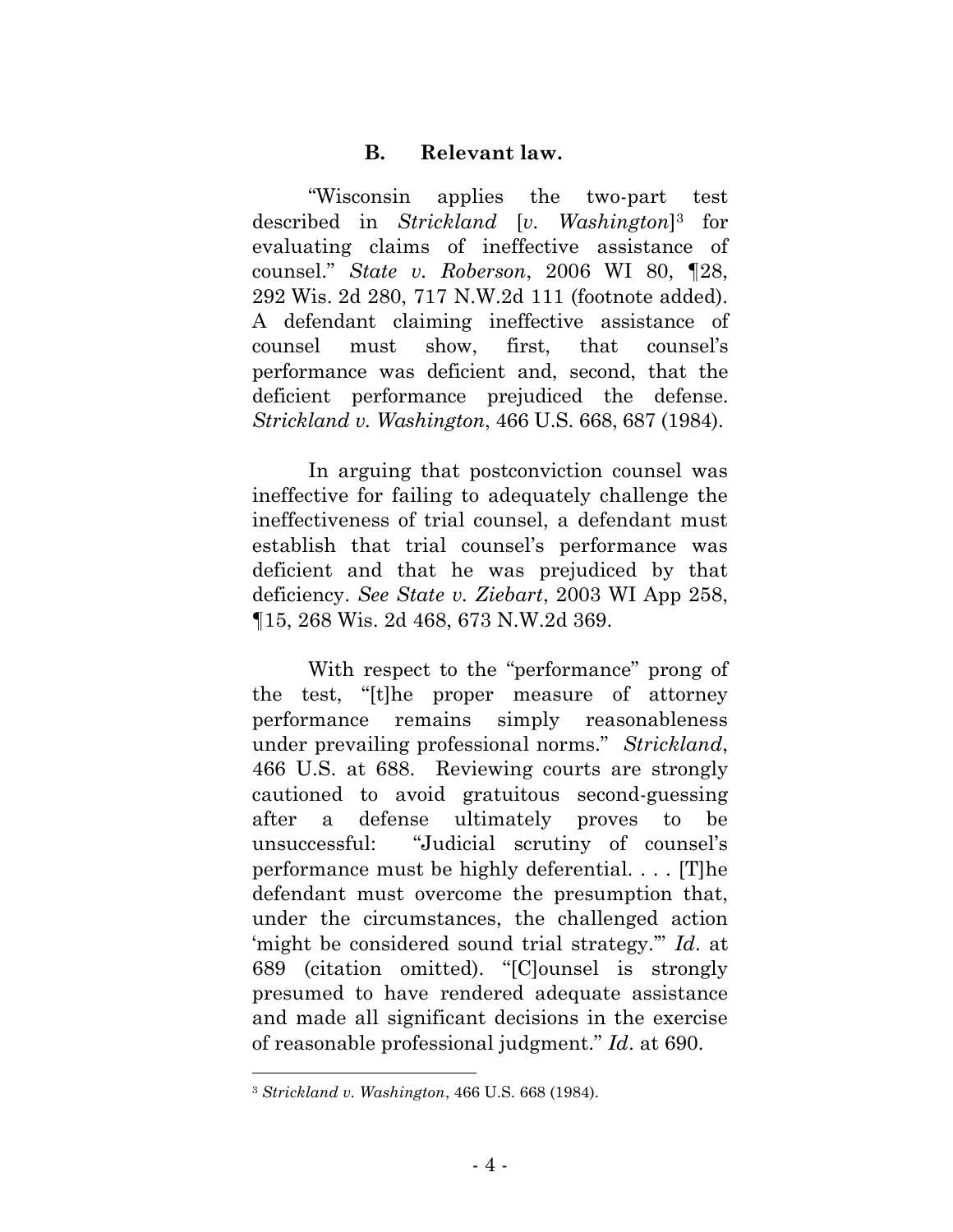## **B. Relevant law.**

"Wisconsin applies the two-part test described in *Strickland* [*v. Washington*] <sup>3</sup> for evaluating claims of ineffective assistance of counsel." *State v. Roberson*, 2006 WI 80, ¶28, 292 Wis. 2d 280, 717 N.W.2d 111 (footnote added). A defendant claiming ineffective assistance of counsel must show, first, that counsel's performance was deficient and, second, that the deficient performance prejudiced the defense. *Strickland v. Washington*, 466 U.S. 668, 687 (1984).

In arguing that postconviction counsel was ineffective for failing to adequately challenge the ineffectiveness of trial counsel, a defendant must establish that trial counsel's performance was deficient and that he was prejudiced by that deficiency. *See State v. Ziebart*, 2003 WI App 258, ¶15, 268 Wis. 2d 468, 673 N.W.2d 369.

With respect to the "performance" prong of the test, "[t]he proper measure of attorney performance remains simply reasonableness under prevailing professional norms." *Strickland*, 466 U.S. at 688. Reviewing courts are strongly cautioned to avoid gratuitous second-guessing after a defense ultimately proves to be unsuccessful: "Judicial scrutiny of counsel's performance must be highly deferential. . . . [T]he defendant must overcome the presumption that, under the circumstances, the challenged action 'might be considered sound trial strategy.'" *Id*. at 689 (citation omitted). "[C]ounsel is strongly presumed to have rendered adequate assistance and made all significant decisions in the exercise of reasonable professional judgment." *Id*. at 690.

<sup>3</sup> *Strickland v. Washington*, 466 U.S. 668 (1984).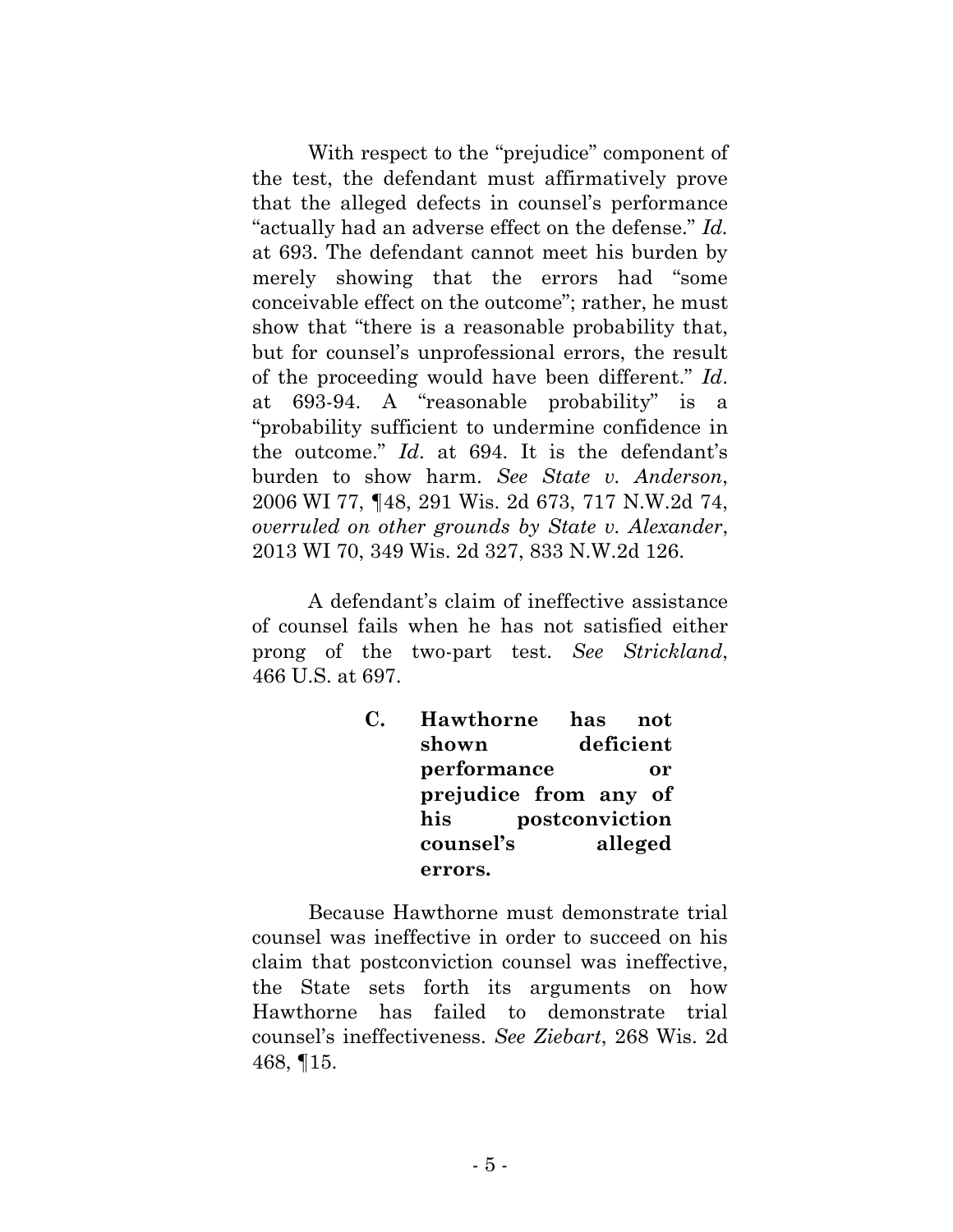With respect to the "prejudice" component of the test, the defendant must affirmatively prove that the alleged defects in counsel's performance "actually had an adverse effect on the defense." *Id.* at 693. The defendant cannot meet his burden by merely showing that the errors had "some conceivable effect on the outcome"; rather, he must show that "there is a reasonable probability that, but for counsel's unprofessional errors, the result of the proceeding would have been different." *Id*. at 693-94. A "reasonable probability" is a "probability sufficient to undermine confidence in the outcome." *Id*. at 694. It is the defendant's burden to show harm. *See State v. Anderson*, 2006 WI 77, ¶48, 291 Wis. 2d 673, 717 N.W.2d 74, *overruled on other grounds by State v. Alexander*, 2013 WI 70, 349 Wis. 2d 327, 833 N.W.2d 126.

A defendant's claim of ineffective assistance of counsel fails when he has not satisfied either prong of the two-part test. *See Strickland*, 466 U.S. at 697.

| $\mathbf{C}$ . | Hawthorne             | has            | not     |
|----------------|-----------------------|----------------|---------|
|                | shown                 | deficient      |         |
|                | performance           |                | or      |
|                | prejudice from any of |                |         |
|                | his                   | postconviction |         |
|                | counsel's             |                | alleged |
|                | errors.               |                |         |

Because Hawthorne must demonstrate trial counsel was ineffective in order to succeed on his claim that postconviction counsel was ineffective, the State sets forth its arguments on how Hawthorne has failed to demonstrate trial counsel's ineffectiveness. *See Ziebart*, 268 Wis. 2d 468, ¶15.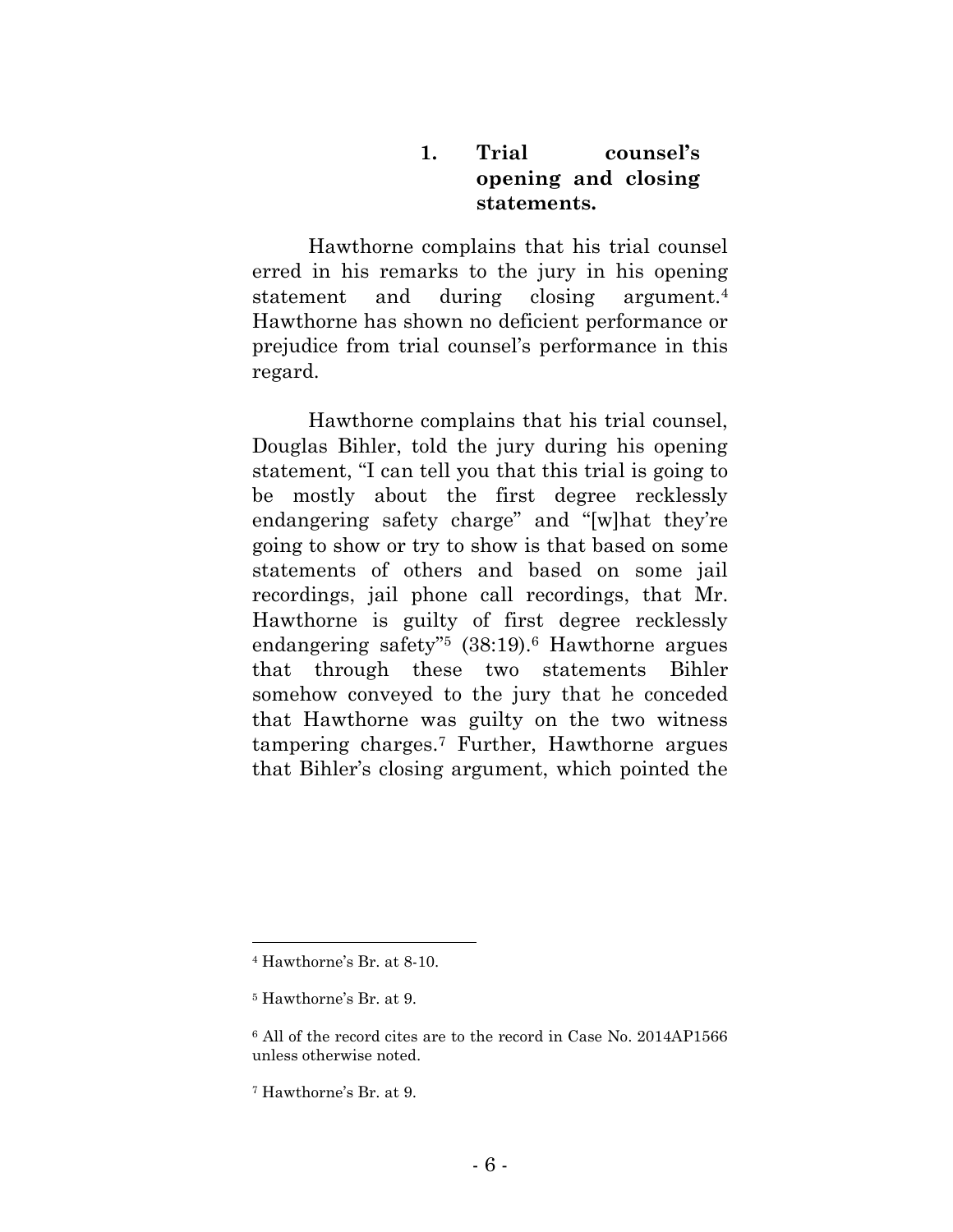## **1. Trial counsel's opening and closing statements.**

Hawthorne complains that his trial counsel erred in his remarks to the jury in his opening statement and during closing argument.<sup>4</sup> Hawthorne has shown no deficient performance or prejudice from trial counsel's performance in this regard.

Hawthorne complains that his trial counsel, Douglas Bihler, told the jury during his opening statement, "I can tell you that this trial is going to be mostly about the first degree recklessly endangering safety charge" and "[w]hat they're going to show or try to show is that based on some statements of others and based on some jail recordings, jail phone call recordings, that Mr. Hawthorne is guilty of first degree recklessly endangering safety"<sup>5</sup> (38:19).<sup>6</sup> Hawthorne argues that through these two statements Bihler somehow conveyed to the jury that he conceded that Hawthorne was guilty on the two witness tampering charges.<sup>7</sup> Further, Hawthorne argues that Bihler's closing argument, which pointed the

<sup>4</sup> Hawthorne's Br. at 8-10.

<sup>5</sup> Hawthorne's Br. at 9.

<sup>6</sup> All of the record cites are to the record in Case No. 2014AP1566 unless otherwise noted.

<sup>7</sup> Hawthorne's Br. at 9.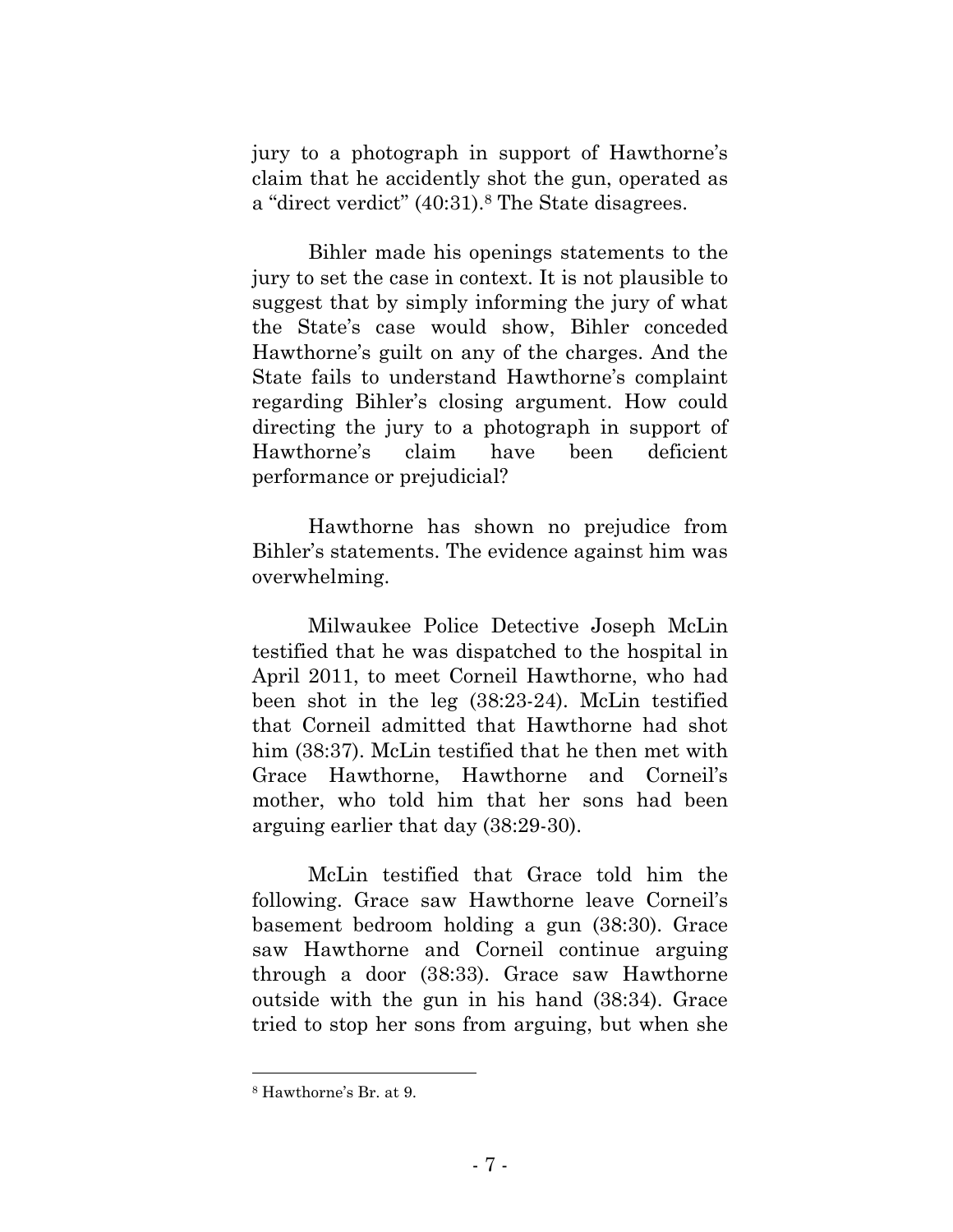jury to a photograph in support of Hawthorne's claim that he accidently shot the gun, operated as a "direct verdict" (40:31).<sup>8</sup> The State disagrees.

Bihler made his openings statements to the jury to set the case in context. It is not plausible to suggest that by simply informing the jury of what the State's case would show, Bihler conceded Hawthorne's guilt on any of the charges. And the State fails to understand Hawthorne's complaint regarding Bihler's closing argument. How could directing the jury to a photograph in support of Hawthorne's claim have been deficient performance or prejudicial?

Hawthorne has shown no prejudice from Bihler's statements. The evidence against him was overwhelming.

Milwaukee Police Detective Joseph McLin testified that he was dispatched to the hospital in April 2011, to meet Corneil Hawthorne, who had been shot in the leg (38:23-24). McLin testified that Corneil admitted that Hawthorne had shot him (38:37). McLin testified that he then met with Grace Hawthorne, Hawthorne and Corneil's mother, who told him that her sons had been arguing earlier that day (38:29-30).

McLin testified that Grace told him the following. Grace saw Hawthorne leave Corneil's basement bedroom holding a gun (38:30). Grace saw Hawthorne and Corneil continue arguing through a door (38:33). Grace saw Hawthorne outside with the gun in his hand (38:34). Grace tried to stop her sons from arguing, but when she

<sup>8</sup> Hawthorne's Br. at 9.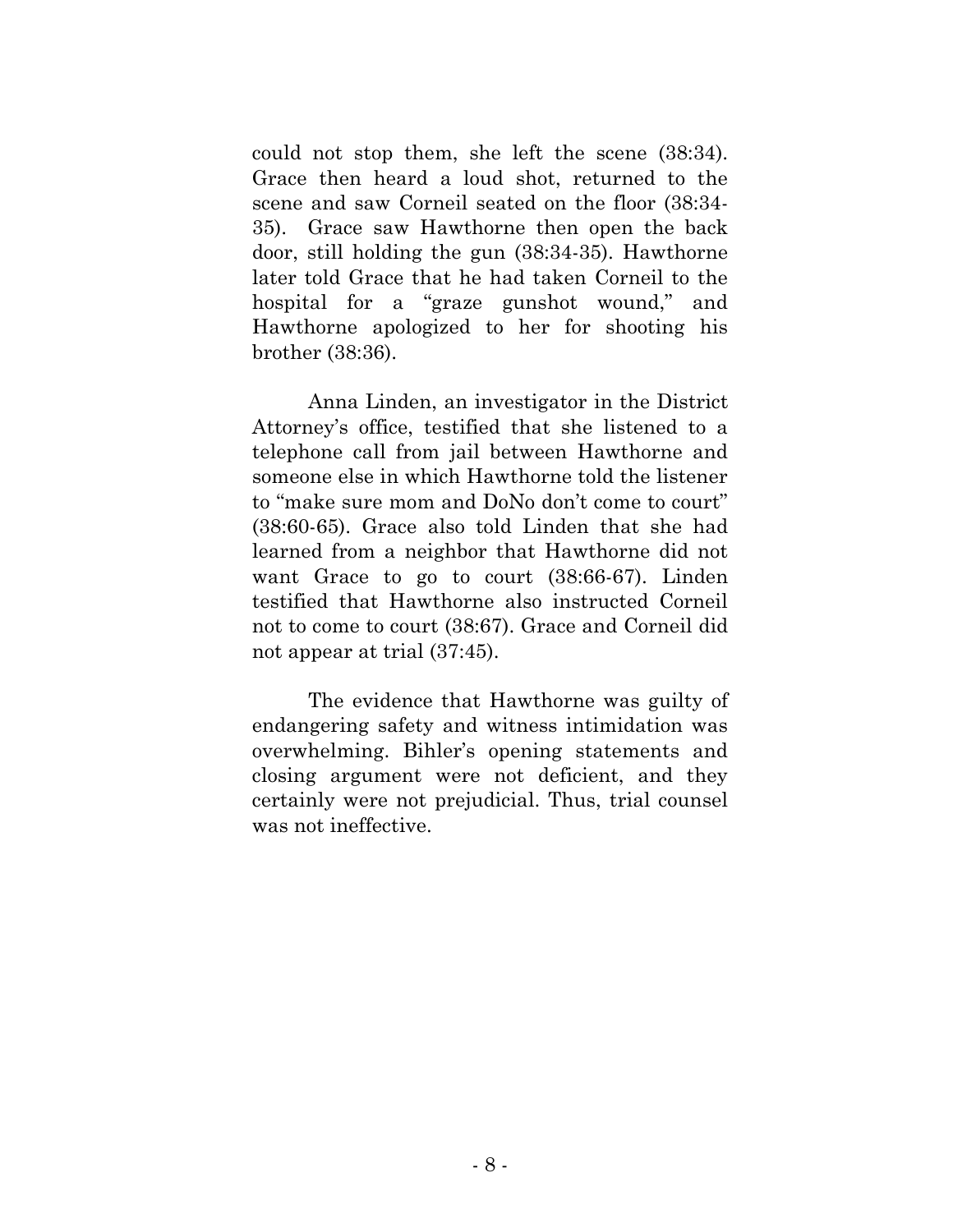could not stop them, she left the scene (38:34). Grace then heard a loud shot, returned to the scene and saw Corneil seated on the floor (38:34- 35). Grace saw Hawthorne then open the back door, still holding the gun (38:34-35). Hawthorne later told Grace that he had taken Corneil to the hospital for a "graze gunshot wound," and Hawthorne apologized to her for shooting his brother (38:36).

Anna Linden, an investigator in the District Attorney's office, testified that she listened to a telephone call from jail between Hawthorne and someone else in which Hawthorne told the listener to "make sure mom and DoNo don't come to court" (38:60-65). Grace also told Linden that she had learned from a neighbor that Hawthorne did not want Grace to go to court (38:66-67). Linden testified that Hawthorne also instructed Corneil not to come to court (38:67). Grace and Corneil did not appear at trial (37:45).

The evidence that Hawthorne was guilty of endangering safety and witness intimidation was overwhelming. Bihler's opening statements and closing argument were not deficient, and they certainly were not prejudicial. Thus, trial counsel was not ineffective.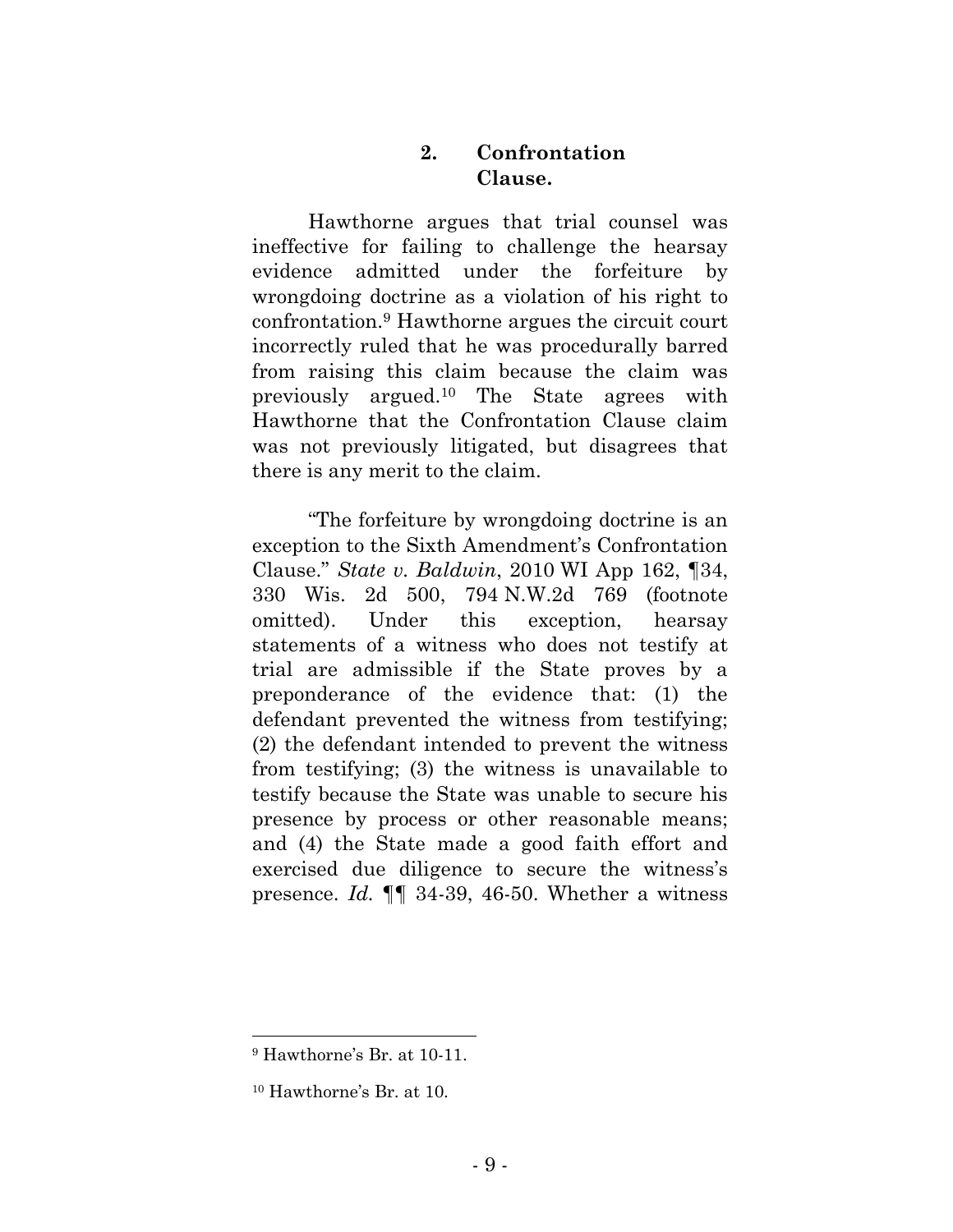## **2. Confrontation Clause.**

Hawthorne argues that trial counsel was ineffective for failing to challenge the hearsay evidence admitted under the forfeiture by wrongdoing doctrine as a violation of his right to confrontation.<sup>9</sup> Hawthorne argues the circuit court incorrectly ruled that he was procedurally barred from raising this claim because the claim was previously argued.<sup>10</sup> The State agrees with Hawthorne that the Confrontation Clause claim was not previously litigated, but disagrees that there is any merit to the claim.

"The forfeiture by wrongdoing doctrine is an exception to the Sixth Amendment's Confrontation Clause." *State v. Baldwin*, 2010 WI App 162, ¶34, 330 Wis. 2d 500, 794 N.W.2d 769 (footnote omitted). Under this exception, hearsay statements of a witness who does not testify at trial are admissible if the State proves by a preponderance of the evidence that: (1) the defendant prevented the witness from testifying; (2) the defendant intended to prevent the witness from testifying; (3) the witness is unavailable to testify because the State was unable to secure his presence by process or other reasonable means; and (4) the State made a good faith effort and exercised due diligence to secure the witness's presence. *Id.* ¶¶ 34-39, 46-50. Whether a witness

<sup>9</sup> Hawthorne's Br. at 10-11.

<sup>10</sup> Hawthorne's Br. at 10.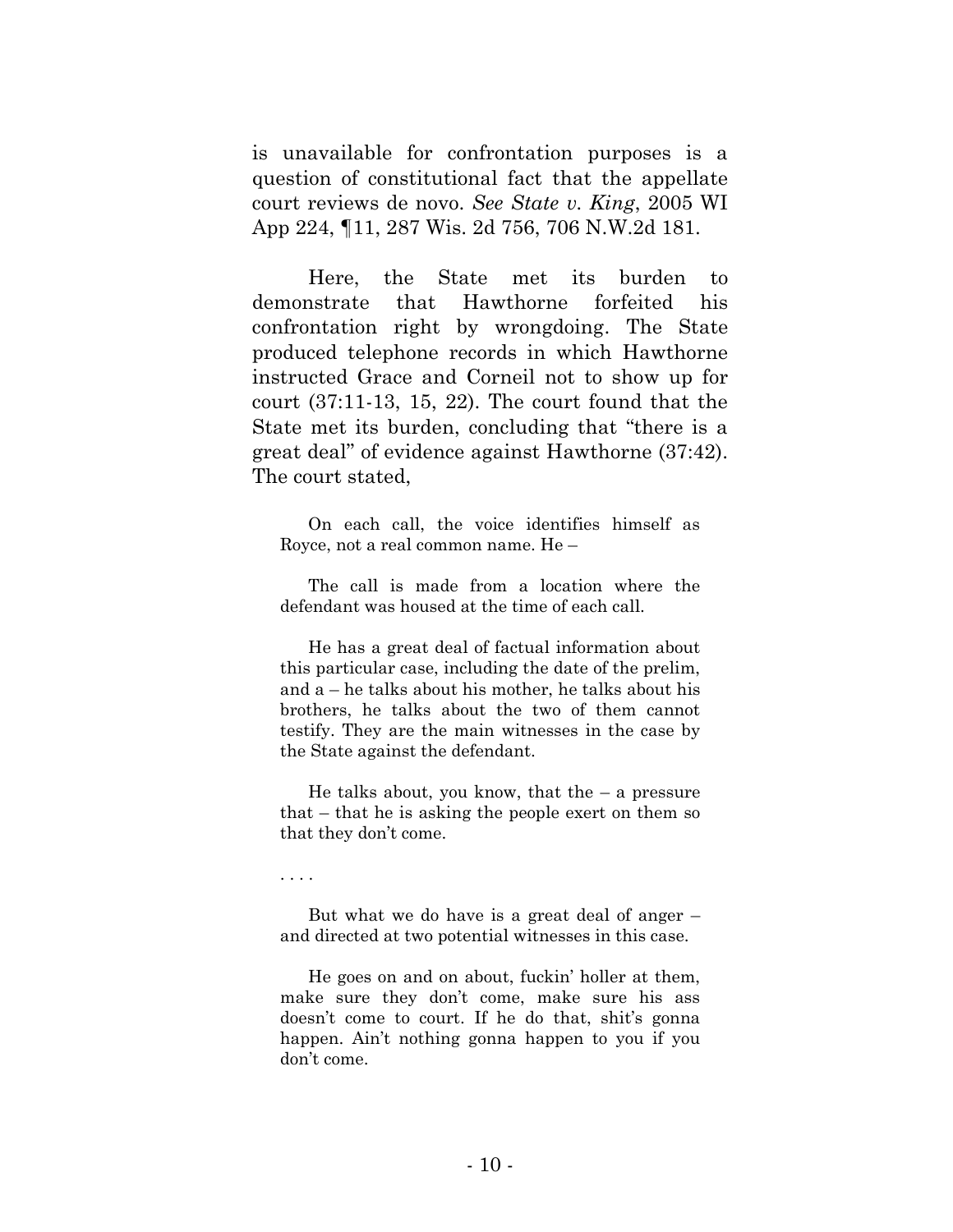is unavailable for confrontation purposes is a question of constitutional fact that the appellate court reviews de novo. *See State v. King*, 2005 WI App 224, ¶11, 287 Wis. 2d 756, 706 N.W.2d 181.

Here, the State met its burden to demonstrate that Hawthorne forfeited his confrontation right by wrongdoing. The State produced telephone records in which Hawthorne instructed Grace and Corneil not to show up for court (37:11-13, 15, 22). The court found that the State met its burden, concluding that "there is a great deal" of evidence against Hawthorne (37:42). The court stated,

On each call, the voice identifies himself as Royce, not a real common name. He –

The call is made from a location where the defendant was housed at the time of each call.

He has a great deal of factual information about this particular case, including the date of the prelim, and a – he talks about his mother, he talks about his brothers, he talks about the two of them cannot testify. They are the main witnesses in the case by the State against the defendant.

He talks about, you know, that the  $-$  a pressure that – that he is asking the people exert on them so that they don't come.

. . . .

But what we do have is a great deal of anger – and directed at two potential witnesses in this case.

He goes on and on about, fuckin' holler at them, make sure they don't come, make sure his ass doesn't come to court. If he do that, shit's gonna happen. Ain't nothing gonna happen to you if you don't come.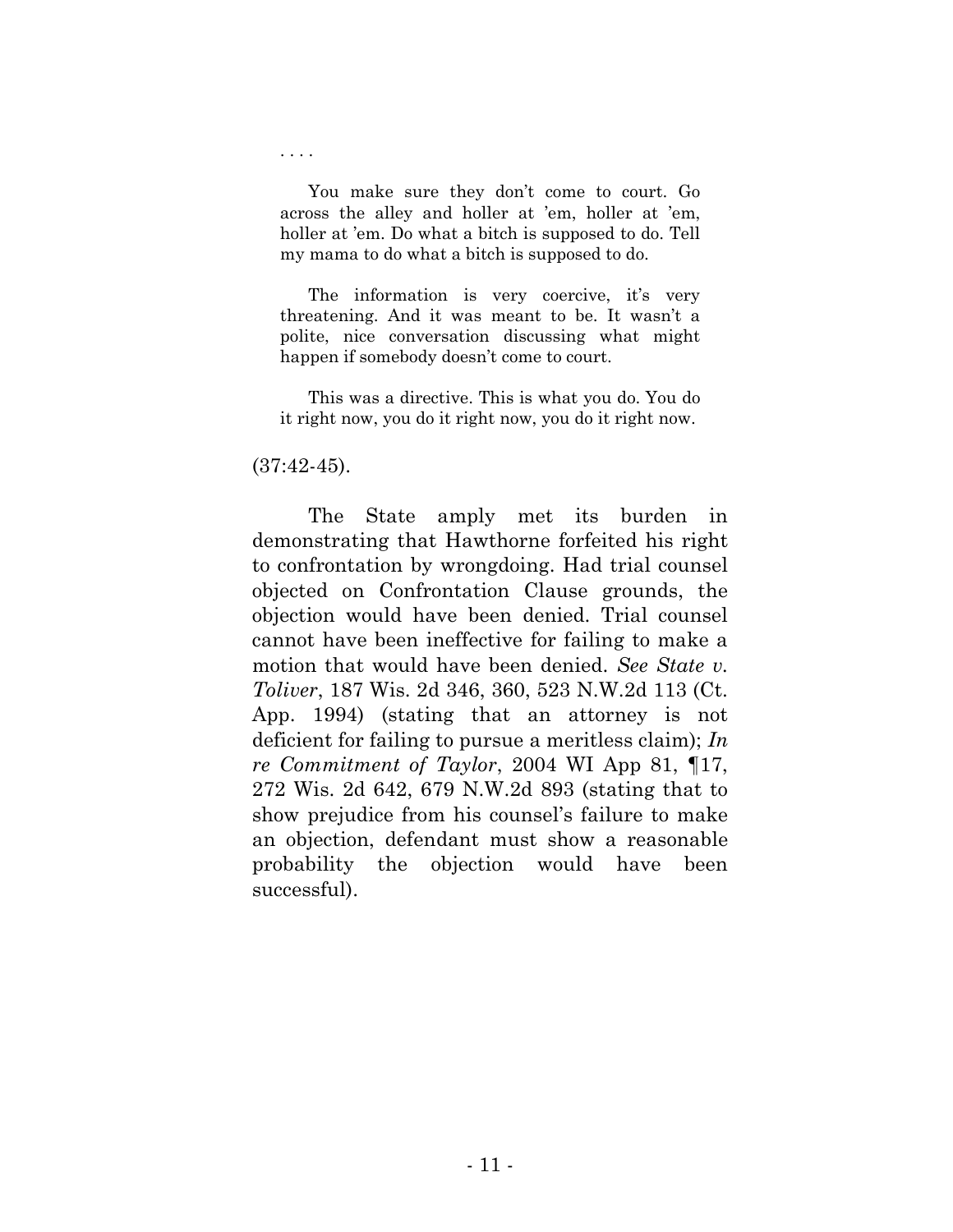You make sure they don't come to court. Go across the alley and holler at 'em, holler at 'em, holler at 'em. Do what a bitch is supposed to do. Tell my mama to do what a bitch is supposed to do.

The information is very coercive, it's very threatening. And it was meant to be. It wasn't a polite, nice conversation discussing what might happen if somebody doesn't come to court.

This was a directive. This is what you do. You do it right now, you do it right now, you do it right now.

#### $(37:42-45)$ .

. . . .

The State amply met its burden in demonstrating that Hawthorne forfeited his right to confrontation by wrongdoing. Had trial counsel objected on Confrontation Clause grounds, the objection would have been denied. Trial counsel cannot have been ineffective for failing to make a motion that would have been denied. *See State v. Toliver*, 187 Wis. 2d 346, 360, 523 N.W.2d 113 (Ct. App. 1994) (stating that an attorney is not deficient for failing to pursue a meritless claim); *In re Commitment of Taylor*, 2004 WI App 81, ¶17, 272 Wis. 2d 642, 679 N.W.2d 893 (stating that to show prejudice from his counsel's failure to make an objection, defendant must show a reasonable probability the objection would have been successful).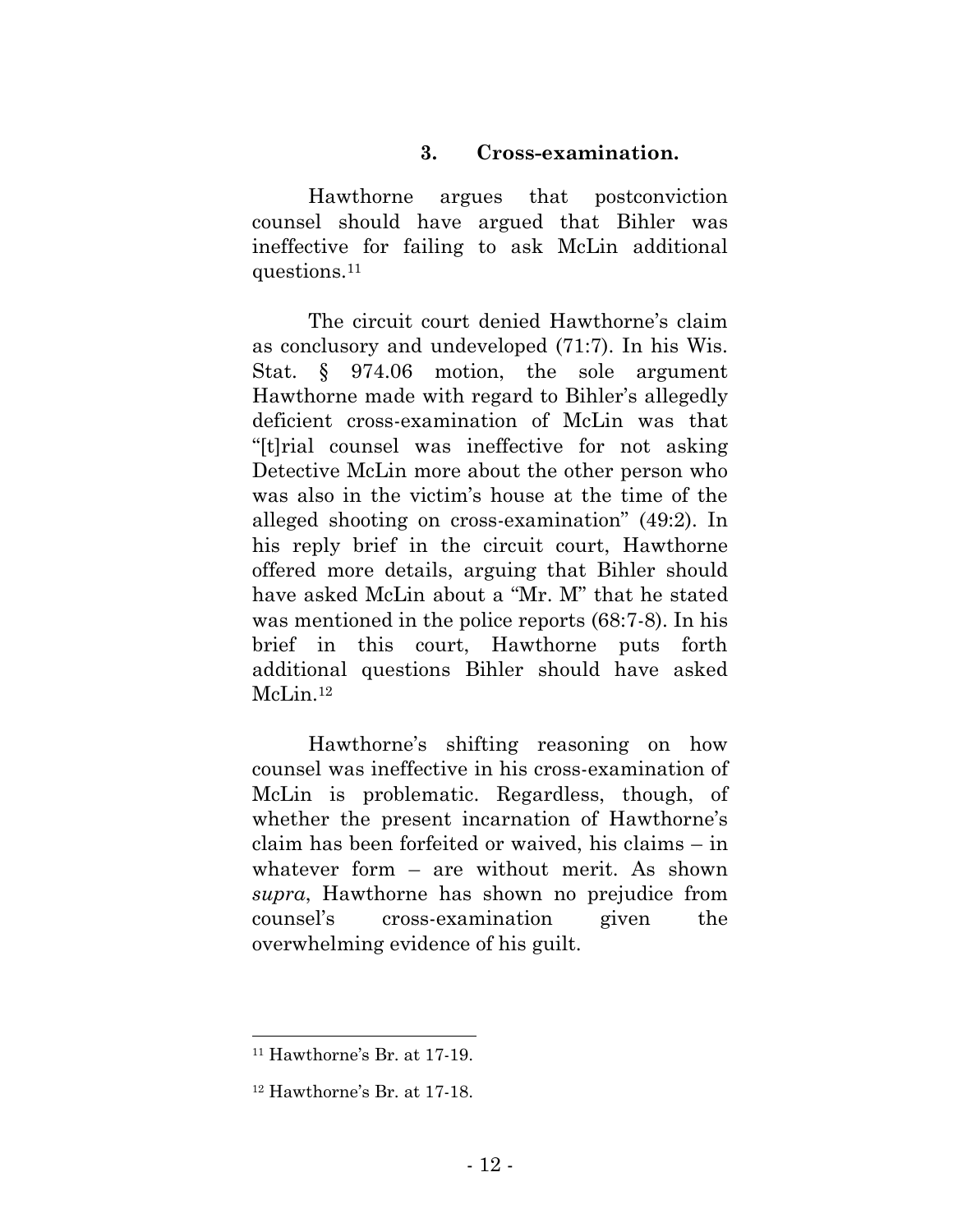#### **3. Cross-examination.**

Hawthorne argues that postconviction counsel should have argued that Bihler was ineffective for failing to ask McLin additional questions.<sup>11</sup>

The circuit court denied Hawthorne's claim as conclusory and undeveloped (71:7). In his Wis. Stat. § 974.06 motion, the sole argument Hawthorne made with regard to Bihler's allegedly deficient cross-examination of McLin was that "[t]rial counsel was ineffective for not asking Detective McLin more about the other person who was also in the victim's house at the time of the alleged shooting on cross-examination" (49:2). In his reply brief in the circuit court, Hawthorne offered more details, arguing that Bihler should have asked McLin about a "Mr. M" that he stated was mentioned in the police reports (68:7-8). In his brief in this court, Hawthorne puts forth additional questions Bihler should have asked McLin.<sup>12</sup>

Hawthorne's shifting reasoning on how counsel was ineffective in his cross-examination of McLin is problematic. Regardless, though, of whether the present incarnation of Hawthorne's claim has been forfeited or waived, his claims – in whatever form – are without merit. As shown *supra*, Hawthorne has shown no prejudice from counsel's cross-examination given the overwhelming evidence of his guilt.

<sup>11</sup> Hawthorne's Br. at 17-19.

<sup>12</sup> Hawthorne's Br. at 17-18.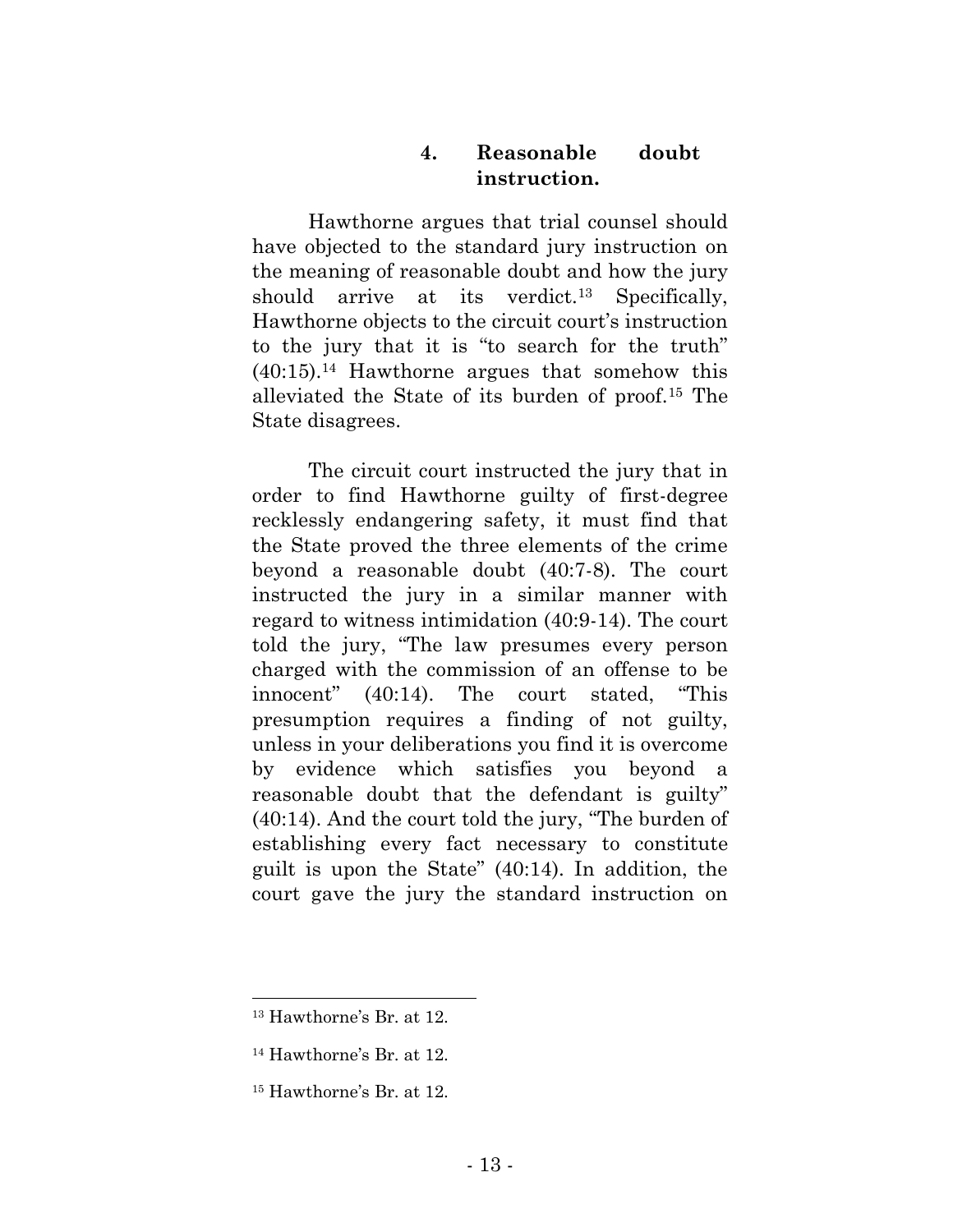## **4. Reasonable doubt instruction.**

Hawthorne argues that trial counsel should have objected to the standard jury instruction on the meaning of reasonable doubt and how the jury should arrive at its verdict.<sup>13</sup> Specifically, Hawthorne objects to the circuit court's instruction to the jury that it is "to search for the truth"  $(40:15).<sup>14</sup>$  Hawthorne argues that somehow this alleviated the State of its burden of proof.<sup>15</sup> The State disagrees.

The circuit court instructed the jury that in order to find Hawthorne guilty of first-degree recklessly endangering safety, it must find that the State proved the three elements of the crime beyond a reasonable doubt (40:7-8). The court instructed the jury in a similar manner with regard to witness intimidation (40:9-14). The court told the jury, "The law presumes every person charged with the commission of an offense to be innocent" (40:14). The court stated, "This presumption requires a finding of not guilty, unless in your deliberations you find it is overcome by evidence which satisfies you beyond a reasonable doubt that the defendant is guilty" (40:14). And the court told the jury, "The burden of establishing every fact necessary to constitute guilt is upon the State" (40:14). In addition, the court gave the jury the standard instruction on

<sup>13</sup> Hawthorne's Br. at 12.

<sup>14</sup> Hawthorne's Br. at 12.

<sup>15</sup> Hawthorne's Br. at 12.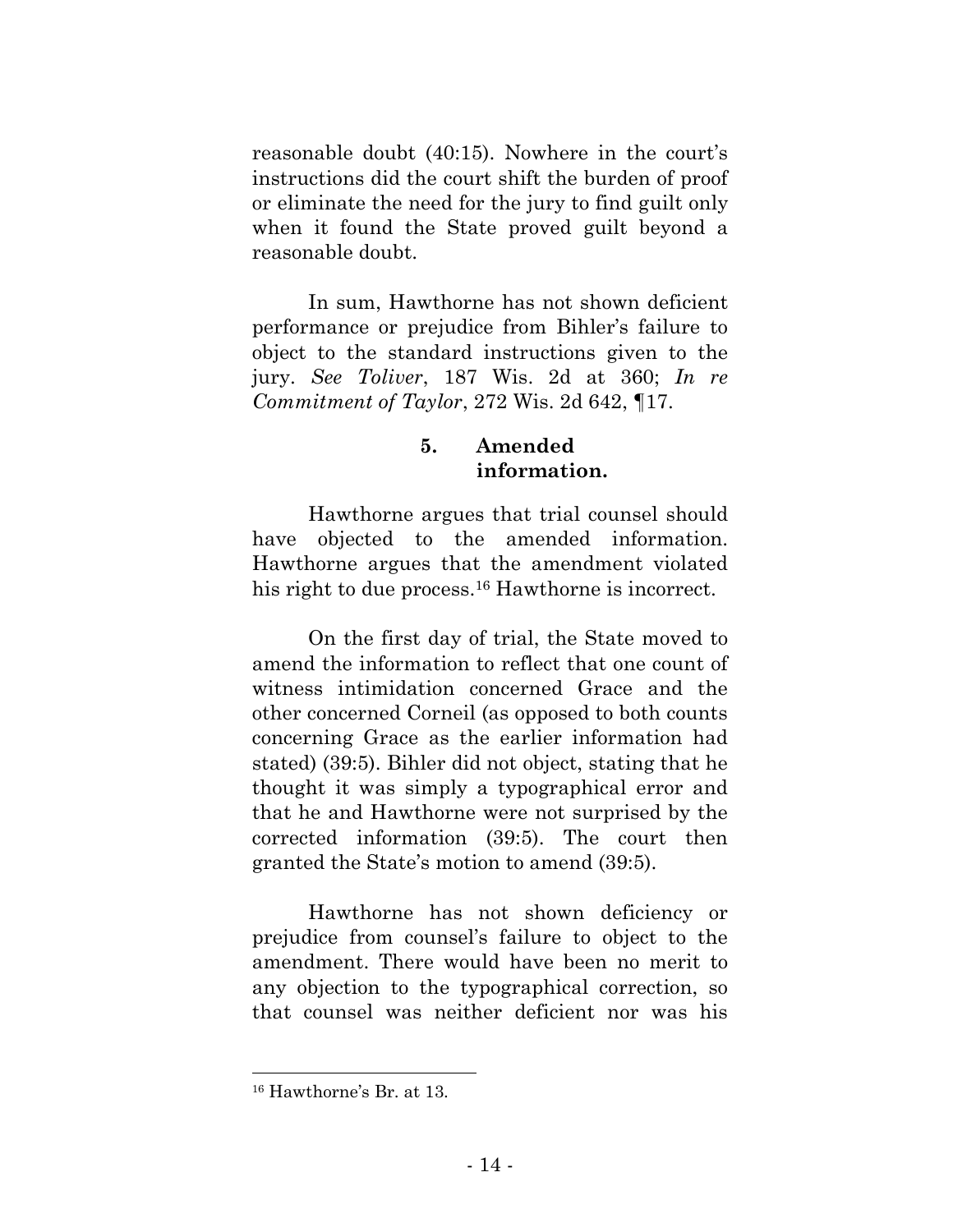reasonable doubt (40:15). Nowhere in the court's instructions did the court shift the burden of proof or eliminate the need for the jury to find guilt only when it found the State proved guilt beyond a reasonable doubt.

In sum, Hawthorne has not shown deficient performance or prejudice from Bihler's failure to object to the standard instructions given to the jury. *See Toliver*, 187 Wis. 2d at 360; *In re Commitment of Taylor*, 272 Wis. 2d 642, ¶17.

## **5. Amended information.**

Hawthorne argues that trial counsel should have objected to the amended information. Hawthorne argues that the amendment violated his right to due process.<sup>16</sup> Hawthorne is incorrect.

On the first day of trial, the State moved to amend the information to reflect that one count of witness intimidation concerned Grace and the other concerned Corneil (as opposed to both counts concerning Grace as the earlier information had stated) (39:5). Bihler did not object, stating that he thought it was simply a typographical error and that he and Hawthorne were not surprised by the corrected information (39:5). The court then granted the State's motion to amend (39:5).

Hawthorne has not shown deficiency or prejudice from counsel's failure to object to the amendment. There would have been no merit to any objection to the typographical correction, so that counsel was neither deficient nor was his

<sup>16</sup> Hawthorne's Br. at 13.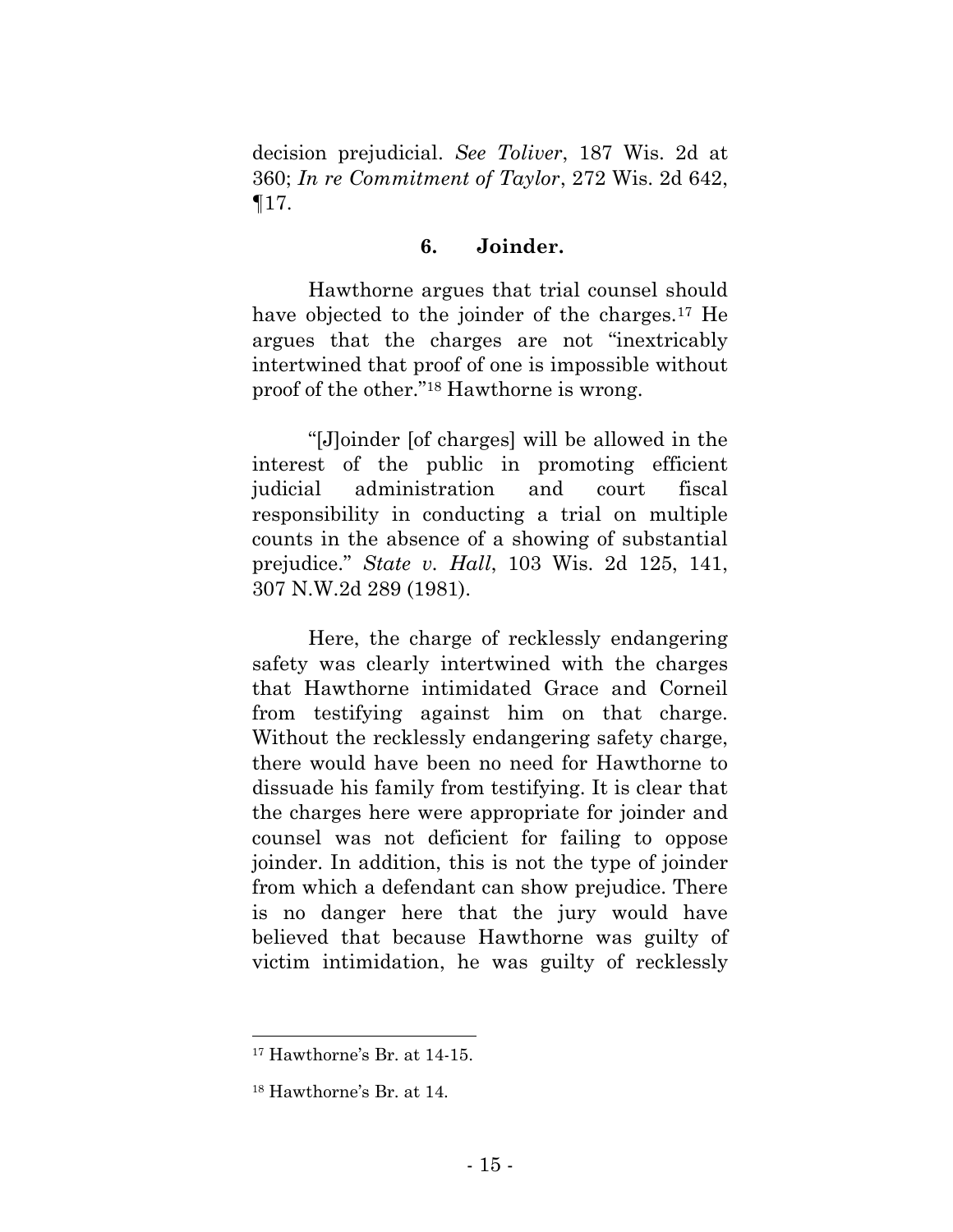decision prejudicial. *See Toliver*, 187 Wis. 2d at 360; *In re Commitment of Taylor*, 272 Wis. 2d 642,  $\P$ 17.

#### **6. Joinder.**

Hawthorne argues that trial counsel should have objected to the joinder of the charges.<sup>17</sup> He argues that the charges are not "inextricably intertwined that proof of one is impossible without proof of the other."<sup>18</sup> Hawthorne is wrong.

"[J]oinder [of charges] will be allowed in the interest of the public in promoting efficient judicial administration and court fiscal responsibility in conducting a trial on multiple counts in the absence of a showing of substantial prejudice." *State v. Hall*, 103 Wis. 2d 125, 141, 307 N.W.2d 289 (1981).

Here, the charge of recklessly endangering safety was clearly intertwined with the charges that Hawthorne intimidated Grace and Corneil from testifying against him on that charge. Without the recklessly endangering safety charge, there would have been no need for Hawthorne to dissuade his family from testifying. It is clear that the charges here were appropriate for joinder and counsel was not deficient for failing to oppose joinder. In addition, this is not the type of joinder from which a defendant can show prejudice. There is no danger here that the jury would have believed that because Hawthorne was guilty of victim intimidation, he was guilty of recklessly

<sup>17</sup> Hawthorne's Br. at 14-15.

<sup>18</sup> Hawthorne's Br. at 14.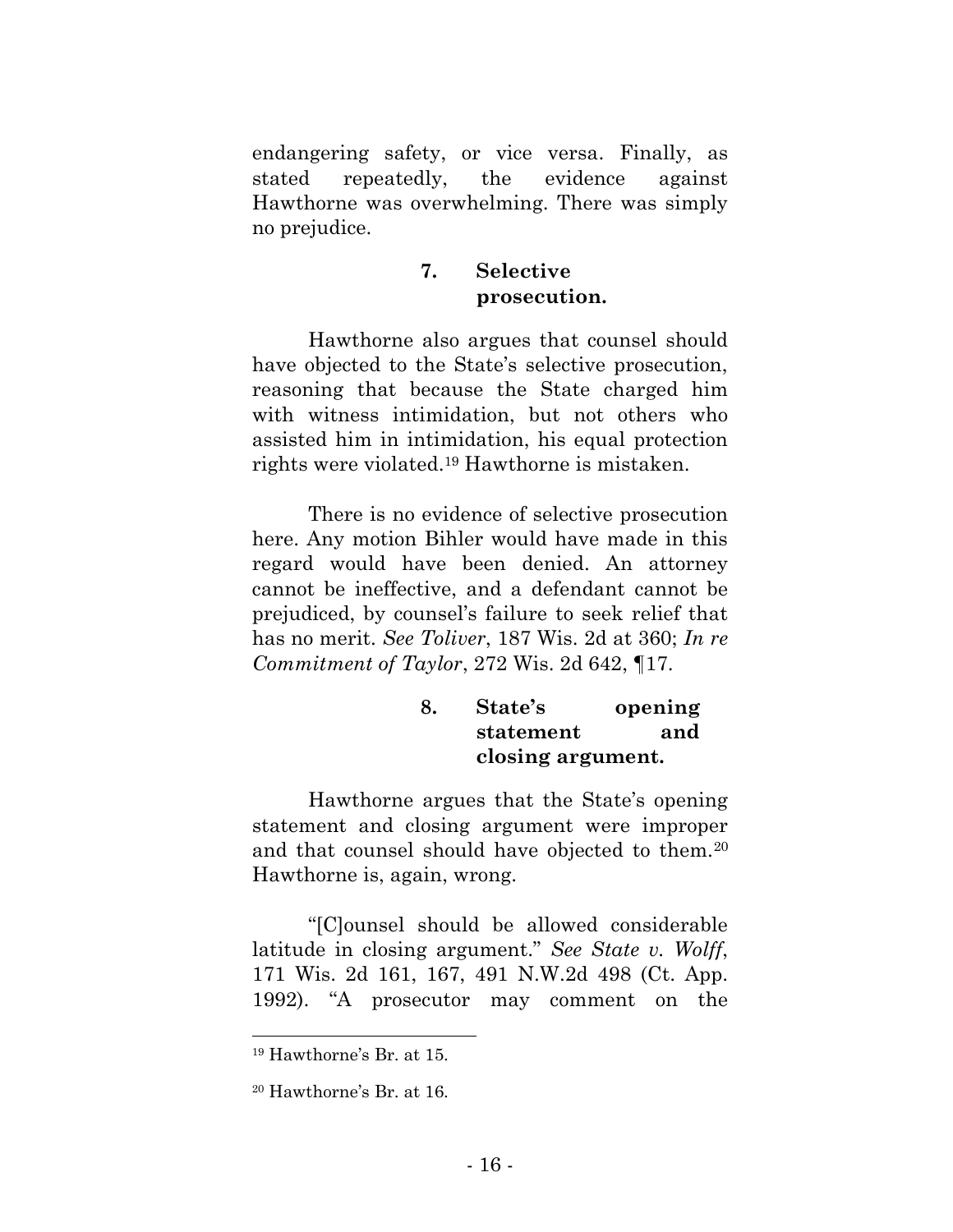endangering safety, or vice versa. Finally, as stated repeatedly, the evidence against Hawthorne was overwhelming. There was simply no prejudice.

## **7. Selective prosecution.**

Hawthorne also argues that counsel should have objected to the State's selective prosecution, reasoning that because the State charged him with witness intimidation, but not others who assisted him in intimidation, his equal protection rights were violated.<sup>19</sup> Hawthorne is mistaken.

There is no evidence of selective prosecution here. Any motion Bihler would have made in this regard would have been denied. An attorney cannot be ineffective, and a defendant cannot be prejudiced, by counsel's failure to seek relief that has no merit. *See Toliver*, 187 Wis. 2d at 360; *In re Commitment of Taylor*, 272 Wis. 2d 642, ¶17.

## **8. State's opening statement and closing argument.**

Hawthorne argues that the State's opening statement and closing argument were improper and that counsel should have objected to them.<sup>20</sup> Hawthorne is, again, wrong.

"[C]ounsel should be allowed considerable latitude in closing argument." *See State v. Wolff*, 171 Wis. 2d 161, 167, 491 N.W.2d 498 (Ct. App. 1992). "A prosecutor may comment on the

<sup>19</sup> Hawthorne's Br. at 15.

<sup>20</sup> Hawthorne's Br. at 16.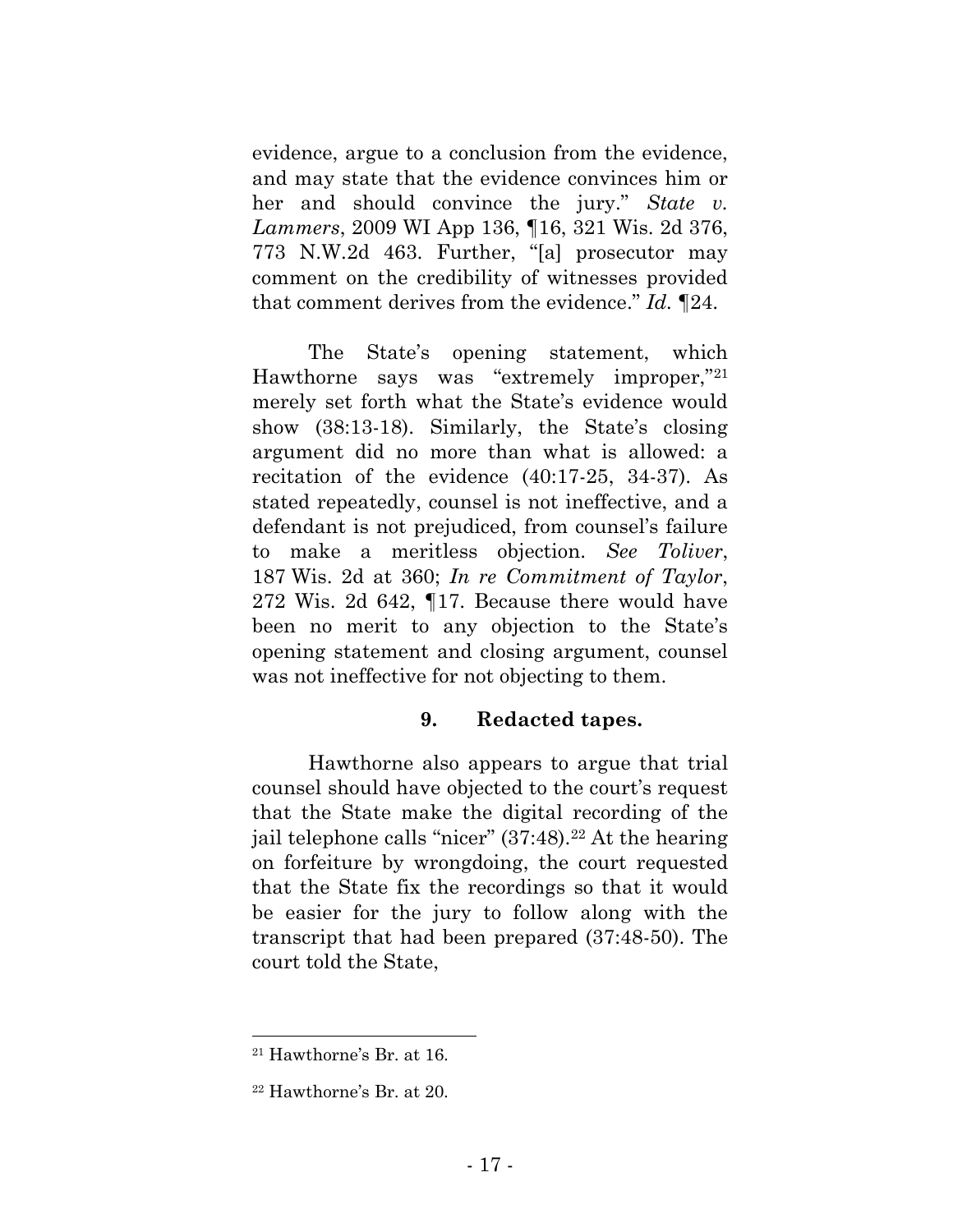evidence, argue to a conclusion from the evidence, and may state that the evidence convinces him or her and should convince the jury." *State v. Lammers*, 2009 WI App 136, ¶16, 321 Wis. 2d 376, 773 N.W.2d 463. Further, "[a] prosecutor may comment on the credibility of witnesses provided that comment derives from the evidence." *Id.* ¶24.

The State's opening statement, which Hawthorne says was "extremely improper,"<sup>21</sup> merely set forth what the State's evidence would show (38:13-18). Similarly, the State's closing argument did no more than what is allowed: a recitation of the evidence (40:17-25, 34-37). As stated repeatedly, counsel is not ineffective, and a defendant is not prejudiced, from counsel's failure to make a meritless objection. *See Toliver*, 187 Wis. 2d at 360; *In re Commitment of Taylor*, 272 Wis. 2d 642, ¶17. Because there would have been no merit to any objection to the State's opening statement and closing argument, counsel was not ineffective for not objecting to them.

#### **9. Redacted tapes.**

Hawthorne also appears to argue that trial counsel should have objected to the court's request that the State make the digital recording of the jail telephone calls "nicer" (37:48).<sup>22</sup> At the hearing on forfeiture by wrongdoing, the court requested that the State fix the recordings so that it would be easier for the jury to follow along with the transcript that had been prepared (37:48-50). The court told the State,

<sup>21</sup> Hawthorne's Br. at 16.

<sup>22</sup> Hawthorne's Br. at 20.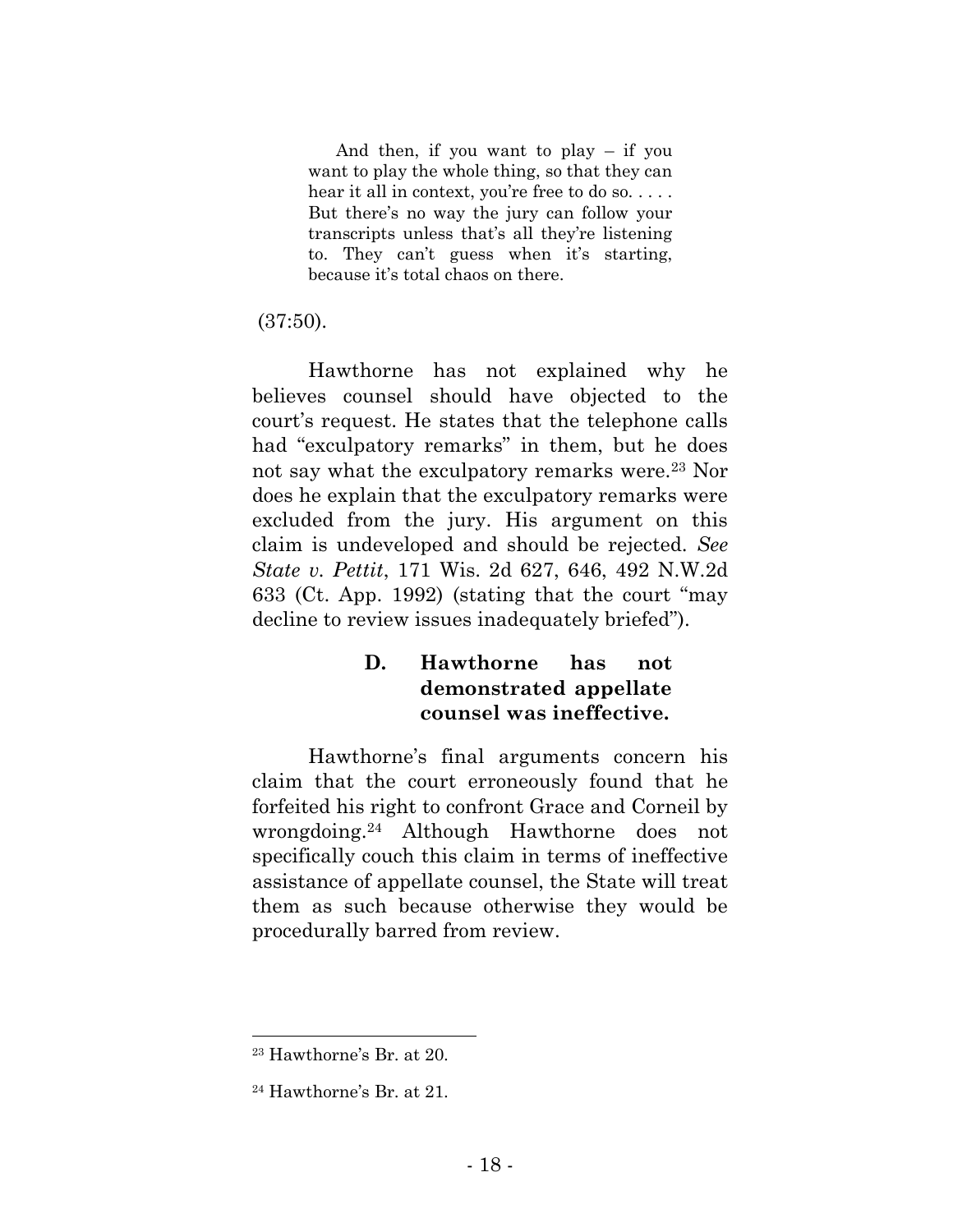And then, if you want to play  $-$  if you want to play the whole thing, so that they can hear it all in context, you're free to do so.... But there's no way the jury can follow your transcripts unless that's all they're listening to. They can't guess when it's starting, because it's total chaos on there.

#### (37:50).

Hawthorne has not explained why he believes counsel should have objected to the court's request. He states that the telephone calls had "exculpatory remarks" in them, but he does not say what the exculpatory remarks were.<sup>23</sup> Nor does he explain that the exculpatory remarks were excluded from the jury. His argument on this claim is undeveloped and should be rejected. *See State v. Pettit*, 171 Wis. 2d 627, 646, 492 N.W.2d 633 (Ct. App. 1992) (stating that the court "may decline to review issues inadequately briefed").

## **D. Hawthorne has not demonstrated appellate counsel was ineffective.**

Hawthorne's final arguments concern his claim that the court erroneously found that he forfeited his right to confront Grace and Corneil by wrongdoing.<sup>24</sup> Although Hawthorne does not specifically couch this claim in terms of ineffective assistance of appellate counsel, the State will treat them as such because otherwise they would be procedurally barred from review.

<sup>23</sup> Hawthorne's Br. at 20.

<sup>24</sup> Hawthorne's Br. at 21.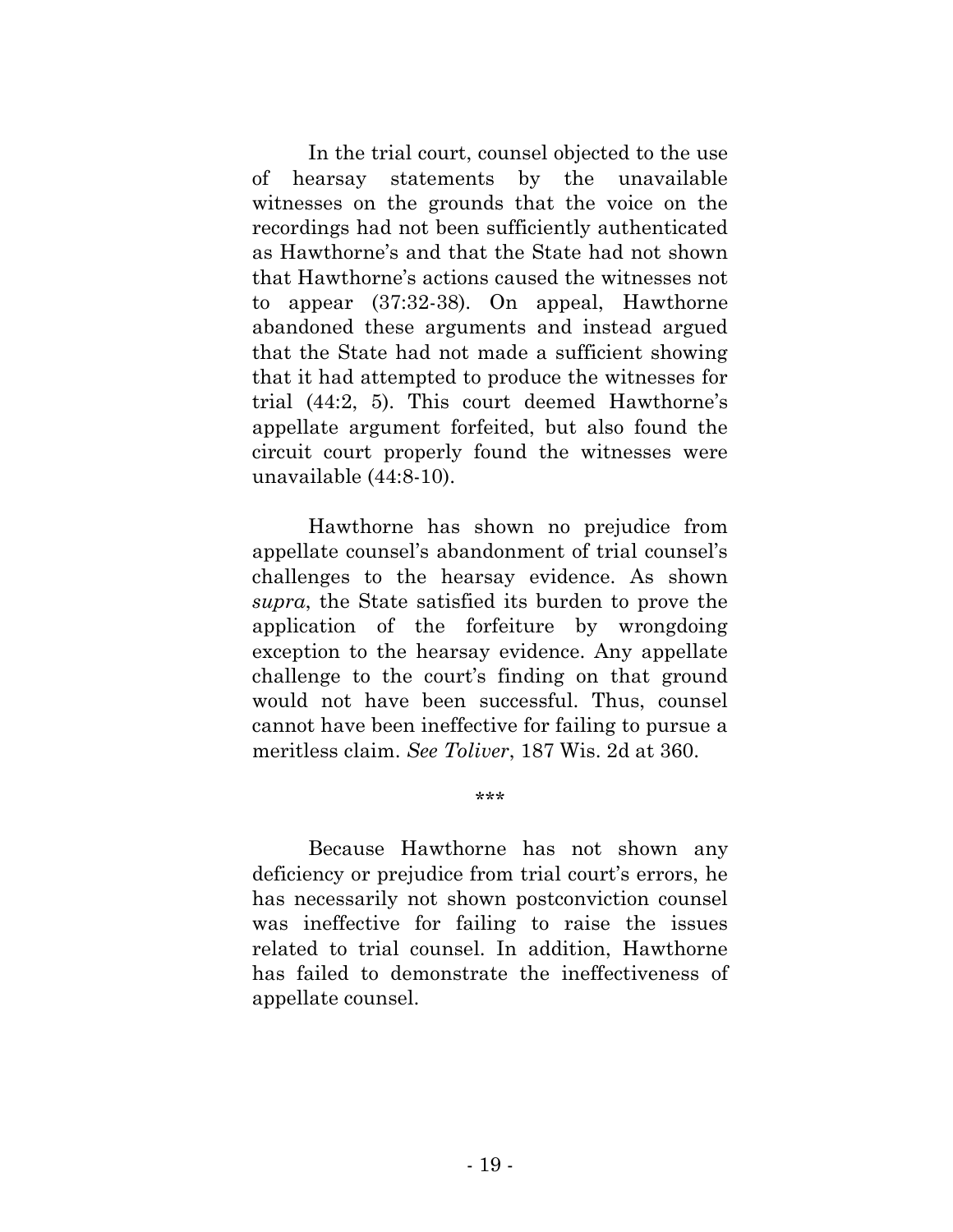In the trial court, counsel objected to the use of hearsay statements by the unavailable witnesses on the grounds that the voice on the recordings had not been sufficiently authenticated as Hawthorne's and that the State had not shown that Hawthorne's actions caused the witnesses not to appear (37:32-38). On appeal, Hawthorne abandoned these arguments and instead argued that the State had not made a sufficient showing that it had attempted to produce the witnesses for trial (44:2, 5). This court deemed Hawthorne's appellate argument forfeited, but also found the circuit court properly found the witnesses were unavailable (44:8-10).

Hawthorne has shown no prejudice from appellate counsel's abandonment of trial counsel's challenges to the hearsay evidence. As shown *supra*, the State satisfied its burden to prove the application of the forfeiture by wrongdoing exception to the hearsay evidence. Any appellate challenge to the court's finding on that ground would not have been successful. Thus, counsel cannot have been ineffective for failing to pursue a meritless claim. *See Toliver*, 187 Wis. 2d at 360.

Because Hawthorne has not shown any deficiency or prejudice from trial court's errors, he has necessarily not shown postconviction counsel was ineffective for failing to raise the issues related to trial counsel. In addition, Hawthorne has failed to demonstrate the ineffectiveness of appellate counsel.

\*\*\*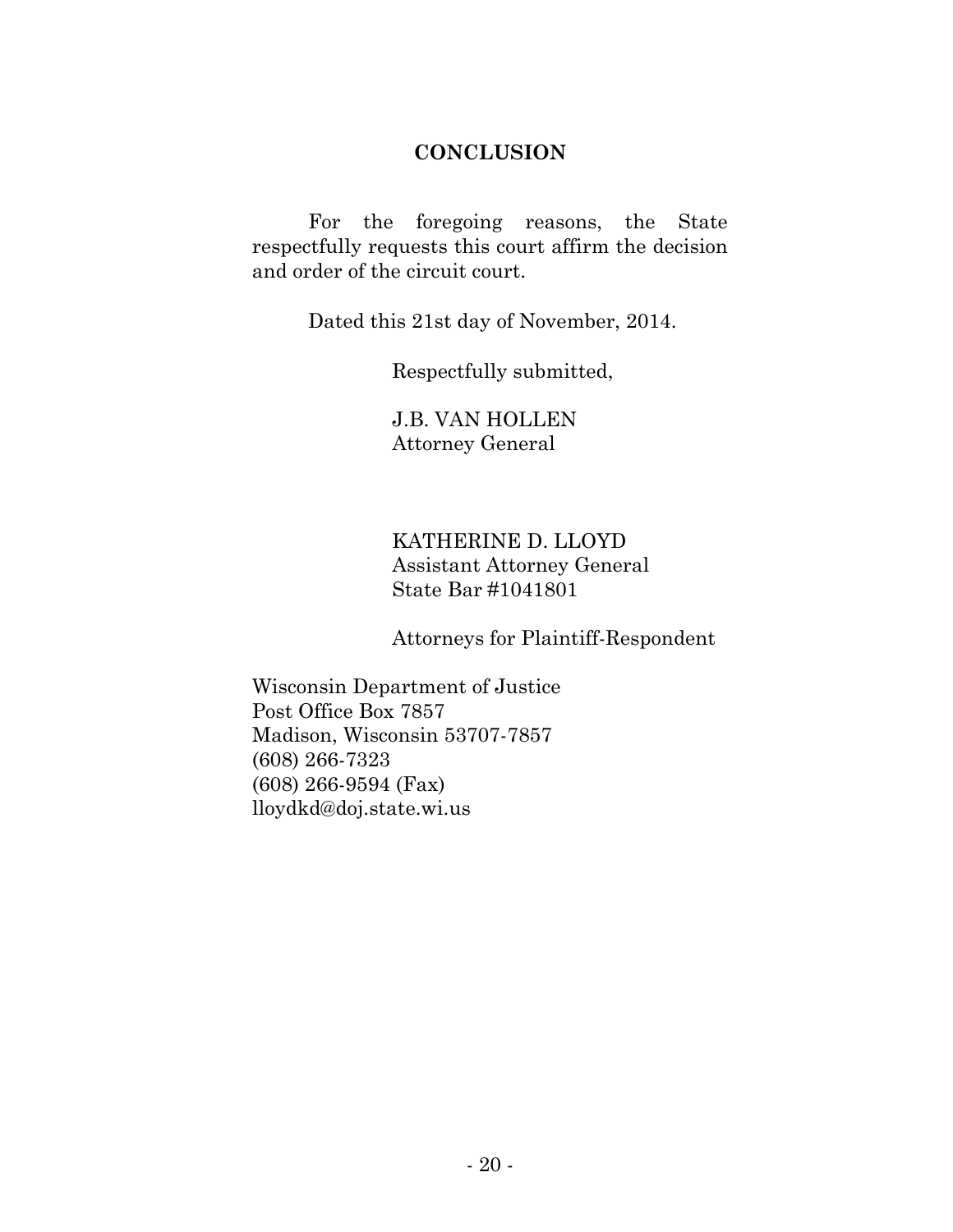#### **CONCLUSION**

For the foregoing reasons, the State respectfully requests this court affirm the decision and order of the circuit court.

Dated this 21st day of November, 2014.

Respectfully submitted,

J.B. VAN HOLLEN Attorney General

KATHERINE D. LLOYD Assistant Attorney General State Bar #1041801

Attorneys for Plaintiff-Respondent

Wisconsin Department of Justice Post Office Box 7857 Madison, Wisconsin 53707-7857 (608) 266-7323 (608) 266-9594 (Fax) lloydkd@doj.state.wi.us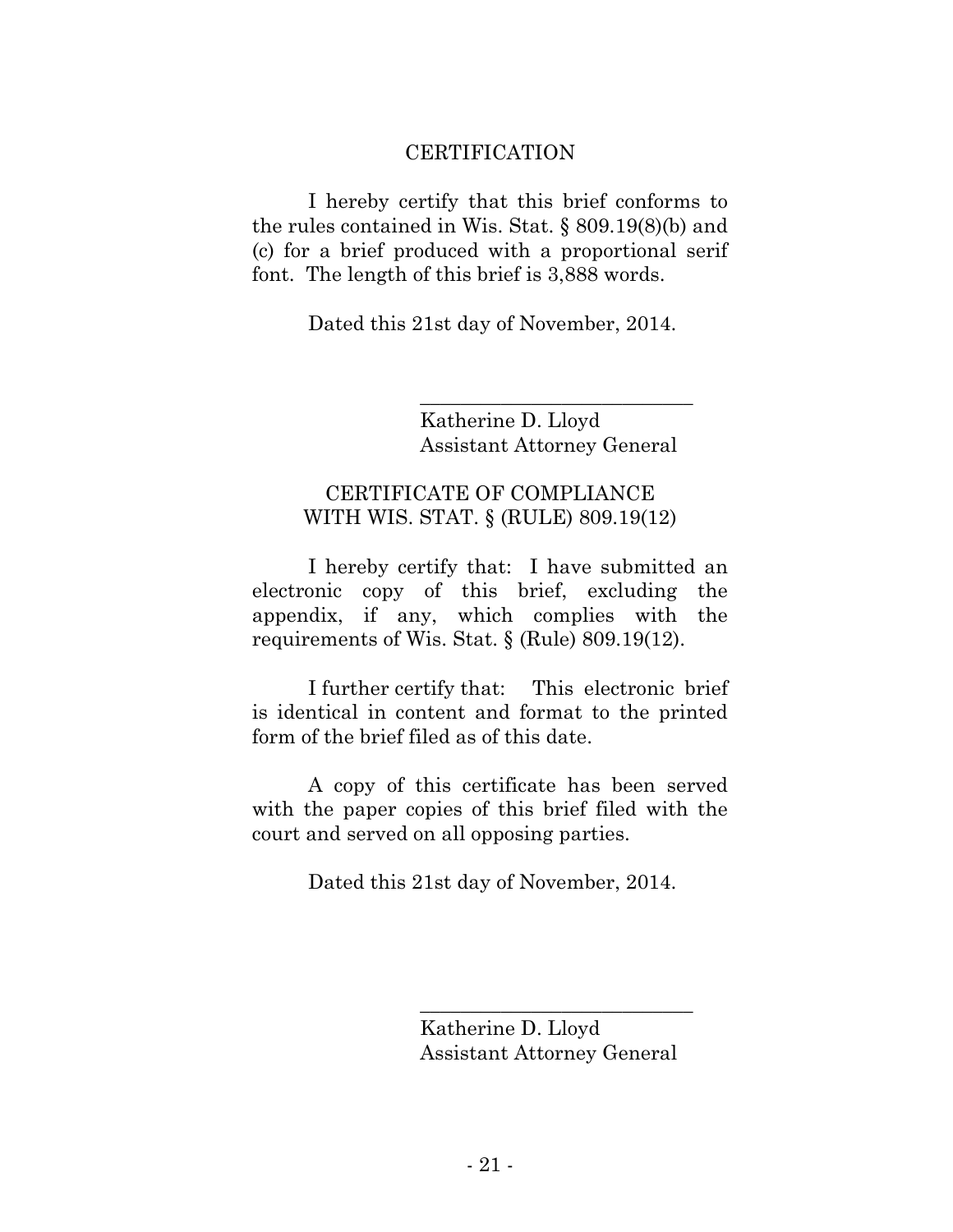#### CERTIFICATION

I hereby certify that this brief conforms to the rules contained in Wis. Stat. § 809.19(8)(b) and (c) for a brief produced with a proportional serif font. The length of this brief is 3,888 words.

Dated this 21st day of November, 2014.

Katherine D. Lloyd Assistant Attorney General

\_\_\_\_\_\_\_\_\_\_\_\_\_\_\_\_\_\_\_\_\_\_\_\_\_\_\_

## CERTIFICATE OF COMPLIANCE WITH WIS. STAT. § (RULE) 809.19(12)

I hereby certify that: I have submitted an electronic copy of this brief, excluding the appendix, if any, which complies with the requirements of Wis. Stat. § (Rule) 809.19(12).

I further certify that: This electronic brief is identical in content and format to the printed form of the brief filed as of this date.

A copy of this certificate has been served with the paper copies of this brief filed with the court and served on all opposing parties.

Dated this 21st day of November, 2014.

Katherine D. Lloyd Assistant Attorney General

\_\_\_\_\_\_\_\_\_\_\_\_\_\_\_\_\_\_\_\_\_\_\_\_\_\_\_